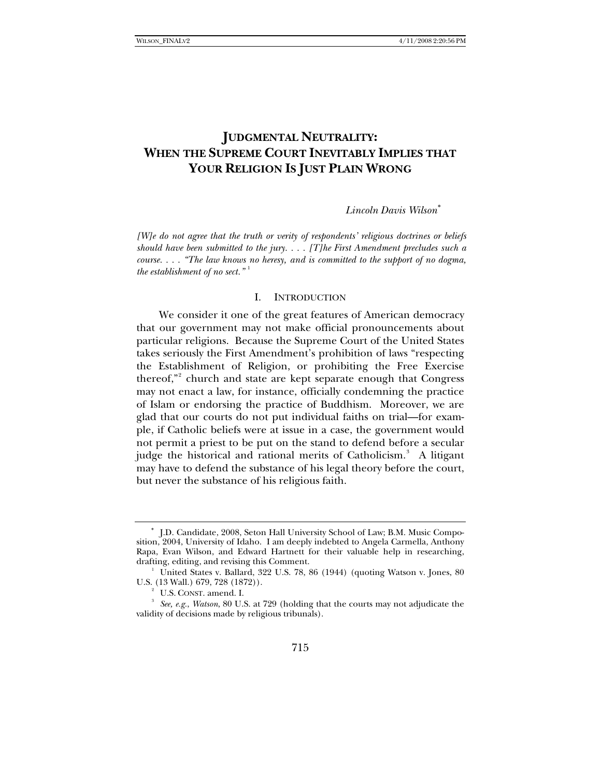# **JUDGMENTAL NEUTRALITY: WHEN THE SUPREME COURT INEVITABLY IMPLIES THAT YOUR RELIGION IS JUST PLAIN WRONG**

### *Lincoln Davis Wilson*[∗](#page-0-0)

*[W]e do not agree that the truth or verity of respondents' religious doctrines or beliefs should have been submitted to the jury. . . . [T]he First Amendment precludes such a course. . . . "The law knows no heresy, and is committed to the support of no dogma, the establishment of no sect."* [1](#page-0-1)

### I. INTRODUCTION

We consider it one of the great features of American democracy that our government may not make official pronouncements about particular religions. Because the Supreme Court of the United States takes seriously the First Amendment's prohibition of laws "respecting the Establishment of Religion, or prohibiting the Free Exercise thereof,"<sup>[2](#page-0-2)</sup> church and state are kept separate enough that Congress may not enact a law, for instance, officially condemning the practice of Islam or endorsing the practice of Buddhism. Moreover, we are glad that our courts do not put individual faiths on trial—for example, if Catholic beliefs were at issue in a case, the government would not permit a priest to be put on the stand to defend before a secular judge the historical and rational merits of Catholicism.<sup>[3](#page-0-3)</sup> A litigant may have to defend the substance of his legal theory before the court, but never the substance of his religious faith.

<span id="page-0-0"></span><sup>∗</sup> J.D. Candidate, 2008, Seton Hall University School of Law; B.M. Music Composition, 2004, University of Idaho. I am deeply indebted to Angela Carmella, Anthony Rapa, Evan Wilson, and Edward Hartnett for their valuable help in researching, drafting, editing, and revising this Comment. 1

<span id="page-0-1"></span><sup>&</sup>lt;sup>1</sup> United States v. Ballard, 322 U.S. 78, 86 (1944) (quoting Watson v. Jones, 80 U.S. (13 Wall.) 679, 728 (1872)).

<sup>&</sup>lt;sup>2</sup> U.S. CONST. amend. I.

<span id="page-0-3"></span><span id="page-0-2"></span>*See, e.g.*, *Watson*, 80 U.S. at 729 (holding that the courts may not adjudicate the validity of decisions made by religious tribunals).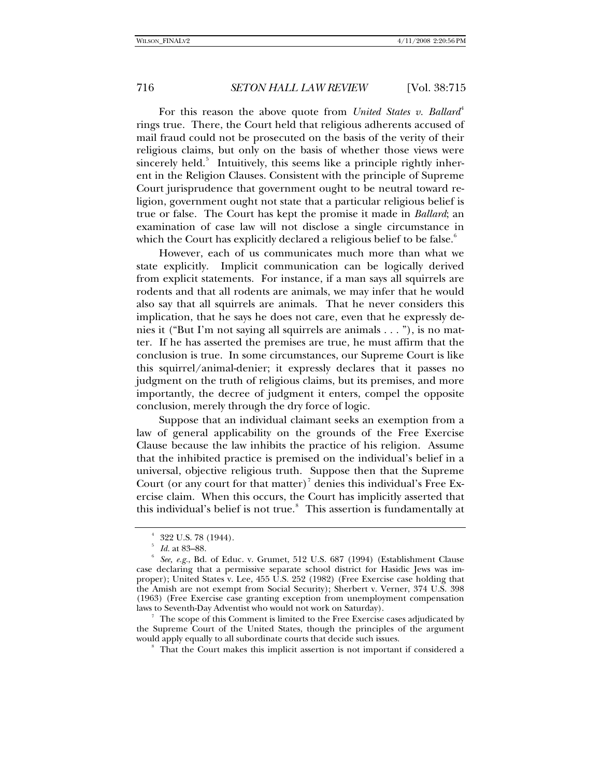For this reason the above quote from *United States v. Ballard*<sup>[4](#page-1-0)</sup> rings true. There, the Court held that religious adherents accused of mail fraud could not be prosecuted on the basis of the verity of their religious claims, but only on the basis of whether those views were sincerely held.<sup>[5](#page-1-1)</sup> Intuitively, this seems like a principle rightly inherent in the Religion Clauses. Consistent with the principle of Supreme Court jurisprudence that government ought to be neutral toward religion, government ought not state that a particular religious belief is true or false. The Court has kept the promise it made in *Ballard*; an examination of case law will not disclose a single circumstance in which the Court has explicitly declared a religious belief to be false.<sup>[6](#page-1-2)</sup>

However, each of us communicates much more than what we state explicitly. Implicit communication can be logically derived from explicit statements. For instance, if a man says all squirrels are rodents and that all rodents are animals, we may infer that he would also say that all squirrels are animals. That he never considers this implication, that he says he does not care, even that he expressly denies it ("But I'm not saying all squirrels are animals . . . "), is no matter. If he has asserted the premises are true, he must affirm that the conclusion is true. In some circumstances, our Supreme Court is like this squirrel/animal-denier; it expressly declares that it passes no judgment on the truth of religious claims, but its premises, and more importantly, the decree of judgment it enters, compel the opposite conclusion, merely through the dry force of logic.

Suppose that an individual claimant seeks an exemption from a law of general applicability on the grounds of the Free Exercise Clause because the law inhibits the practice of his religion. Assume that the inhibited practice is premised on the individual's belief in a universal, objective religious truth. Suppose then that the Supreme Court (or any court for that matter)<sup>[7](#page-1-3)</sup> denies this individual's Free Exercise claim. When this occurs, the Court has implicitly asserted that this individual's belief is not true.<sup>[8](#page-1-4)</sup> This assertion is fundamentally at

<span id="page-1-4"></span><span id="page-1-3"></span> The scope of this Comment is limited to the Free Exercise cases adjudicated by the Supreme Court of the United States, though the principles of the argument would apply equally to all subordinate courts that decide such issues.

 $4\,$  322 U.S. 78 (1944).

 $\frac{5}{6}$  *Id.* at 83–88.

<span id="page-1-2"></span><span id="page-1-1"></span><span id="page-1-0"></span>*See, e.g.*, Bd. of Educ. v. Grumet, 512 U.S. 687 (1994) (Establishment Clause case declaring that a permissive separate school district for Hasidic Jews was improper); United States v. Lee, 455 U.S. 252 (1982) (Free Exercise case holding that the Amish are not exempt from Social Security); Sherbert v. Verner, 374 U.S. 398 (1963) (Free Exercise case granting exception from unemployment compensation laws to Seventh-Day Adventist who would not work on Saturday).

<sup>&</sup>lt;sup>8</sup> That the Court makes this implicit assertion is not important if considered a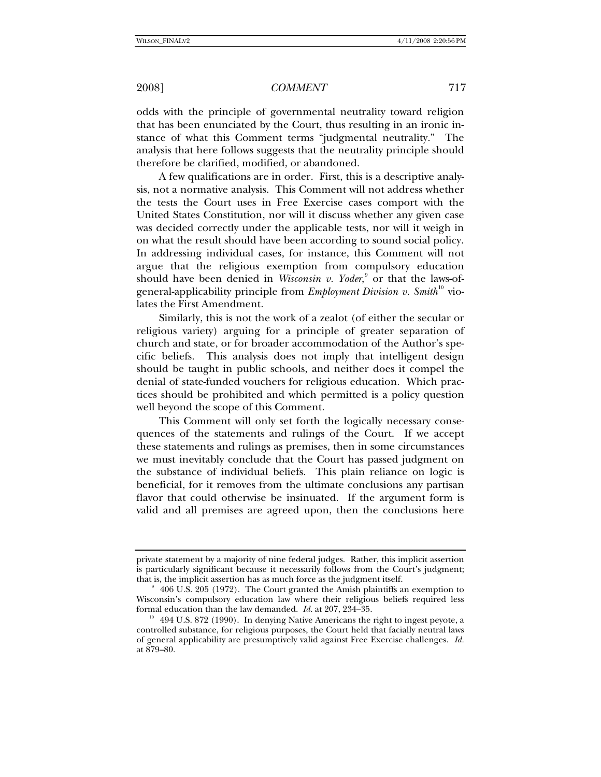odds with the principle of governmental neutrality toward religion that has been enunciated by the Court, thus resulting in an ironic instance of what this Comment terms "judgmental neutrality." The analysis that here follows suggests that the neutrality principle should therefore be clarified, modified, or abandoned.

A few qualifications are in order. First, this is a descriptive analysis, not a normative analysis. This Comment will not address whether the tests the Court uses in Free Exercise cases comport with the United States Constitution, nor will it discuss whether any given case was decided correctly under the applicable tests, nor will it weigh in on what the result should have been according to sound social policy. In addressing individual cases, for instance, this Comment will not argue that the religious exemption from compulsory education should have been denied in *Wisconsin v. Yoder*,<sup>[9](#page-2-0)</sup> or that the laws-ofgeneral-applicability principle from *Employment Division v. Smith*<sup>[10](#page-2-1)</sup> violates the First Amendment.

Similarly, this is not the work of a zealot (of either the secular or religious variety) arguing for a principle of greater separation of church and state, or for broader accommodation of the Author's specific beliefs. This analysis does not imply that intelligent design should be taught in public schools, and neither does it compel the denial of state-funded vouchers for religious education. Which practices should be prohibited and which permitted is a policy question well beyond the scope of this Comment.

This Comment will only set forth the logically necessary consequences of the statements and rulings of the Court. If we accept these statements and rulings as premises, then in some circumstances we must inevitably conclude that the Court has passed judgment on the substance of individual beliefs. This plain reliance on logic is beneficial, for it removes from the ultimate conclusions any partisan flavor that could otherwise be insinuated. If the argument form is valid and all premises are agreed upon, then the conclusions here

private statement by a majority of nine federal judges. Rather, this implicit assertion is particularly significant because it necessarily follows from the Court's judgment; that is, the implicit assertion has as much force as the judgment itself. 9

<span id="page-2-0"></span> $9\,$  406 U.S. 205 (1972). The Court granted the Amish plaintiffs an exemption to Wisconsin's compulsory education law where their religious beliefs required less formal education than the law demanded.  $Id$  at 207, 234–35.

<span id="page-2-1"></span><sup>&</sup>lt;sup>10</sup> 494 U.S. 872 (1990). In denying Native Americans the right to ingest peyote, a controlled substance, for religious purposes, the Court held that facially neutral laws of general applicability are presumptively valid against Free Exercise challenges. *Id.* at 879–80.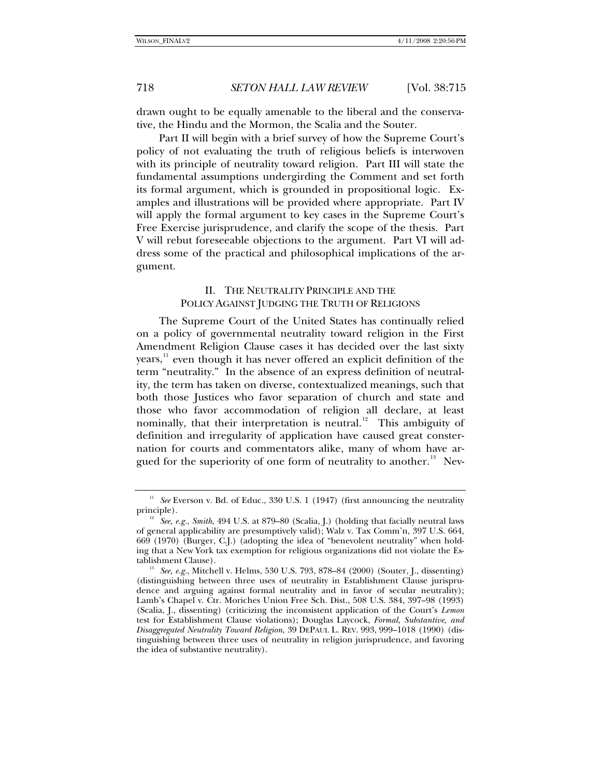drawn ought to be equally amenable to the liberal and the conservative, the Hindu and the Mormon, the Scalia and the Souter.

Part II will begin with a brief survey of how the Supreme Court's policy of not evaluating the truth of religious beliefs is interwoven with its principle of neutrality toward religion. Part III will state the fundamental assumptions undergirding the Comment and set forth its formal argument, which is grounded in propositional logic. Examples and illustrations will be provided where appropriate. Part IV will apply the formal argument to key cases in the Supreme Court's Free Exercise jurisprudence, and clarify the scope of the thesis. Part V will rebut foreseeable objections to the argument. Part VI will address some of the practical and philosophical implications of the argument.

## II. THE NEUTRALITY PRINCIPLE AND THE POLICY AGAINST JUDGING THE TRUTH OF RELIGIONS

The Supreme Court of the United States has continually relied on a policy of governmental neutrality toward religion in the First Amendment Religion Clause cases it has decided over the last sixty  $years<sup>11</sup>$  $years<sup>11</sup>$  $years<sup>11</sup>$ , even though it has never offered an explicit definition of the term "neutrality." In the absence of an express definition of neutrality, the term has taken on diverse, contextualized meanings, such that both those Justices who favor separation of church and state and those who favor accommodation of religion all declare, at least nominally, that their interpretation is neutral.<sup>[12](#page-3-1)</sup> This ambiguity of definition and irregularity of application have caused great consternation for courts and commentators alike, many of whom have ar-gued for the superiority of one form of neutrality to another.<sup>[13](#page-3-2)</sup> Nev-

<span id="page-3-0"></span><sup>&</sup>lt;sup>11</sup> See Everson v. Bd. of Educ., 330 U.S. 1 (1947) (first announcing the neutrality principle).<br><sup>12</sup> *See, e.g.*, *Smith*, 494 U.S. at 879–80 (Scalia, J.) (holding that facially neutral laws

<span id="page-3-1"></span>of general applicability are presumptively valid); Walz v. Tax Comm'n, 397 U.S. 664, 669 (1970) (Burger, C.J.) (adopting the idea of "benevolent neutrality" when holding that a New York tax exemption for religious organizations did not violate the Es-

<span id="page-3-2"></span><sup>&</sup>lt;sup>13</sup> See, e.g., Mitchell v. Helms, 530 U.S. 793, 878–84 (2000) (Souter, J., dissenting) (distinguishing between three uses of neutrality in Establishment Clause jurisprudence and arguing against formal neutrality and in favor of secular neutrality); Lamb's Chapel v. Ctr. Moriches Union Free Sch. Dist., 508 U.S. 384, 397–98 (1993) (Scalia, J., dissenting) (criticizing the inconsistent application of the Court's *Lemon*  test for Establishment Clause violations); Douglas Laycock, *Formal, Substantive, and Disaggregated Neutrality Toward Religion*, 39 DEPAUL L. REV. 993, 999–1018 (1990) (distinguishing between three uses of neutrality in religion jurisprudence, and favoring the idea of substantive neutrality).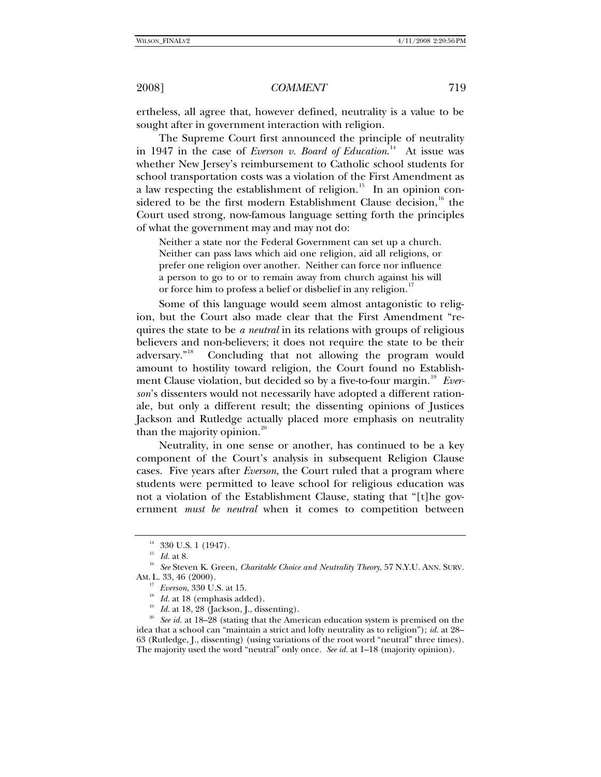ertheless, all agree that, however defined, neutrality is a value to be sought after in government interaction with religion.

The Supreme Court first announced the principle of neutrality in 1947 in the case of *Everson v. Board of Education*.<sup>[14](#page-4-0)</sup> At issue was whether New Jersey's reimbursement to Catholic school students for school transportation costs was a violation of the First Amendment as a law respecting the establishment of religion.<sup>[15](#page-4-1)</sup> In an opinion con-sidered to be the first modern Establishment Clause decision,<sup>[16](#page-4-2)</sup> the Court used strong, now-famous language setting forth the principles of what the government may and may not do:

Neither a state nor the Federal Government can set up a church. Neither can pass laws which aid one religion, aid all religions, or prefer one religion over another. Neither can force nor influence a person to go to or to remain away from church against his will or force him to profess a belief or disbelief in any religion.<sup>[17](#page-4-3)</sup>

Some of this language would seem almost antagonistic to religion, but the Court also made clear that the First Amendment "requires the state to be *a neutral* in its relations with groups of religious believers and non-believers; it does not require the state to be their adversary."<sup>[18](#page-4-4)</sup> Concluding that not allowing the program would amount to hostility toward religion, the Court found no Establish-ment Clause violation, but decided so by a five-to-four margin.<sup>[19](#page-4-5)</sup> Ever*son*'s dissenters would not necessarily have adopted a different rationale, but only a different result; the dissenting opinions of Justices Jackson and Rutledge actually placed more emphasis on neutrality than the majority opinion. $20$ 

Neutrality, in one sense or another, has continued to be a key component of the Court's analysis in subsequent Religion Clause cases. Five years after *Everson*, the Court ruled that a program where students were permitted to leave school for religious education was not a violation of the Establishment Clause, stating that "[t]he government *must be neutral* when it comes to competition between

 $\stackrel{14}{\phantom{}_{15}} 330$  U.S. 1 (1947).<br> $\stackrel{15}{\phantom{}_{16}} Id.$  at 8.

<span id="page-4-3"></span><span id="page-4-2"></span><span id="page-4-1"></span><span id="page-4-0"></span><sup>&</sup>lt;sup>16</sup> See Steven K. Green, *Charitable Choice and Neutrality Theory*, 57 N.Y.U. ANN. SURV. AM. L. 33, 46 (2000).<br><sup>17</sup> Everson, 330 U.S. at 15.

<span id="page-4-6"></span><span id="page-4-5"></span><span id="page-4-4"></span><sup>&</sup>lt;sup>18</sup> Id. at 18 (emphasis added). <sup>19</sup> Id. at 18, 28 (Jackson, J., dissenting). <sup>20</sup> See id. at 18–28 (stating that the American education system is premised on the idea that a school can "maintain a strict and lofty neutrality as to religion"); *id.* at 28– 63 (Rutledge, J., dissenting) (using variations of the root word "neutral" three times). The majority used the word "neutral" only once. *See id.* at 1–18 (majority opinion).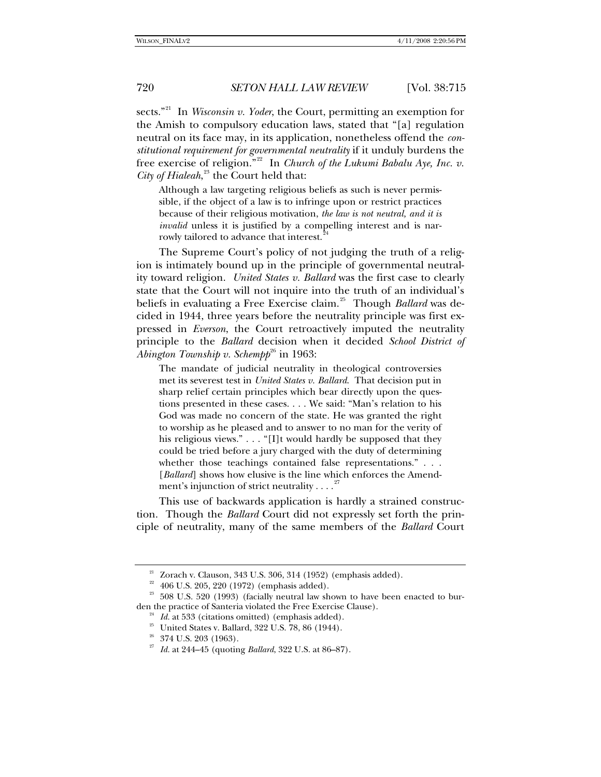sects."<sup>[21](#page-5-0)</sup> In *Wisconsin v. Yoder*, the Court, permitting an exemption for the Amish to compulsory education laws, stated that "[a] regulation neutral on its face may, in its application, nonetheless offend the *constitutional requirement for governmental neutrality* if it unduly burdens the free exercise of religion.<sup>"[22](#page-5-1)</sup> In *Church of the Lukumi Babalu Aye, Inc. v. City of Hialeah*, [23](#page-5-2) the Court held that:

Although a law targeting religious beliefs as such is never permissible, if the object of a law is to infringe upon or restrict practices because of their religious motivation, *the law is not neutral, and it is invalid* unless it is justified by a compelling interest and is narrowly tailored to advance that interest.

The Supreme Court's policy of not judging the truth of a religion is intimately bound up in the principle of governmental neutrality toward religion. *United States v. Ballard* was the first case to clearly state that the Court will not inquire into the truth of an individual's beliefs in evaluating a Free Exercise claim.<sup>[25](#page-5-4)</sup> Though *Ballard* was decided in 1944, three years before the neutrality principle was first expressed in *Everson*, the Court retroactively imputed the neutrality principle to the *Ballard* decision when it decided *School District of Abington Township v. Schempp*<sup>[26](#page-5-5)</sup> in 1963:

The mandate of judicial neutrality in theological controversies met its severest test in *United States v. Ballard*. That decision put in sharp relief certain principles which bear directly upon the questions presented in these cases. . . . We said: "Man's relation to his God was made no concern of the state. He was granted the right to worship as he pleased and to answer to no man for the verity of his religious views." . . . "[I]t would hardly be supposed that they could be tried before a jury charged with the duty of determining whether those teachings contained false representations." . . . [*Ballard*] shows how elusive is the line which enforces the Amendment's injunction of strict neutrality  $\dots$ .

This use of backwards application is hardly a strained construction. Though the *Ballard* Court did not expressly set forth the principle of neutrality, many of the same members of the *Ballard* Court

 $21$  Zorach v. Clauson, 343 U.S. 306, 314 (1952) (emphasis added).

 $22$  406 U.S. 205, 220 (1972) (emphasis added).

<span id="page-5-6"></span><span id="page-5-5"></span><span id="page-5-4"></span><span id="page-5-3"></span><span id="page-5-2"></span><span id="page-5-1"></span><span id="page-5-0"></span> $23$  508 U.S. 520 (1993) (facially neutral law shown to have been enacted to bur-<br>den the practice of Santeria violated the Free Exercise Clause).

<sup>&</sup>lt;sup>24</sup> Id. at 533 (citations omitted) (emphasis added). <sup>25</sup> United States v. Ballard, 322 U.S. 78, 86 (1944).

 $26$  374 U.S. 203 (1963).

<sup>27</sup> *Id.* at 244–45 (quoting *Ballard*, 322 U.S. at 86–87).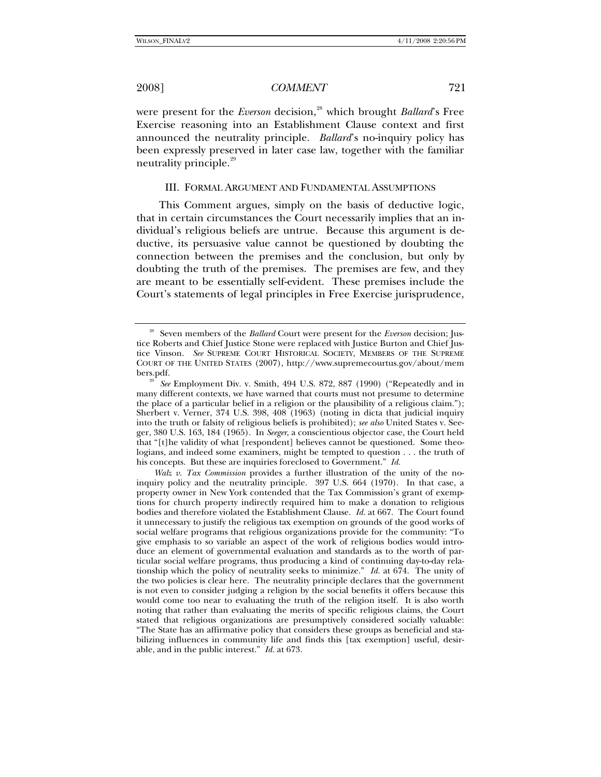were present for the *Everson* decision,<sup>[28](#page-6-0)</sup> which brought *Ballard*'s Free Exercise reasoning into an Establishment Clause context and first announced the neutrality principle. *Ballard*'s no-inquiry policy has been expressly preserved in later case law, together with the familiar neutrality principle.<sup>[29](#page-6-1)</sup>

### III. FORMAL ARGUMENT AND FUNDAMENTAL ASSUMPTIONS

This Comment argues, simply on the basis of deductive logic, that in certain circumstances the Court necessarily implies that an individual's religious beliefs are untrue. Because this argument is deductive, its persuasive value cannot be questioned by doubting the connection between the premises and the conclusion, but only by doubting the truth of the premises. The premises are few, and they are meant to be essentially self-evident. These premises include the Court's statements of legal principles in Free Exercise jurisprudence,

<span id="page-6-0"></span><sup>&</sup>lt;sup>28</sup> Seven members of the *Ballard* Court were present for the *Everson* decision; Justice Roberts and Chief Justice Stone were replaced with Justice Burton and Chief Justice Vinson. *See* SUPREME COURT HISTORICAL SOCIETY, MEMBERS OF THE SUPREME COURT OF THE UNITED STATES (2007), http://www.supremecourtus.gov/about/mem

<span id="page-6-1"></span>bers.pdf. 29 *See* Employment Div. v. Smith, 494 U.S. 872, 887 (1990) ("Repeatedly and in many different contexts, we have warned that courts must not presume to determine the place of a particular belief in a religion or the plausibility of a religious claim."); Sherbert v. Verner, 374 U.S. 398, 408 (1963) (noting in dicta that judicial inquiry into the truth or falsity of religious beliefs is prohibited); *see also* United States v. Seeger, 380 U.S. 163, 184 (1965).In *Seeger*, a conscientious objector case, the Court held that "[t]he validity of what [respondent] believes cannot be questioned. Some theologians, and indeed some examiners, might be tempted to question . . . the truth of his concepts. But these are inquiries foreclosed to Government." *Id.*

*Walz v. Tax Commission* provides a further illustration of the unity of the noinquiry policy and the neutrality principle. 397 U.S. 664 (1970). In that case, a property owner in New York contended that the Tax Commission's grant of exemptions for church property indirectly required him to make a donation to religious bodies and therefore violated the Establishment Clause. *Id.* at 667. The Court found it unnecessary to justify the religious tax exemption on grounds of the good works of social welfare programs that religious organizations provide for the community: "To give emphasis to so variable an aspect of the work of religious bodies would introduce an element of governmental evaluation and standards as to the worth of particular social welfare programs, thus producing a kind of continuing day-to-day relationship which the policy of neutrality seeks to minimize." *Id.* at 674. The unity of the two policies is clear here. The neutrality principle declares that the government is not even to consider judging a religion by the social benefits it offers because this would come too near to evaluating the truth of the religion itself. It is also worth noting that rather than evaluating the merits of specific religious claims, the Court stated that religious organizations are presumptively considered socially valuable: "The State has an affirmative policy that considers these groups as beneficial and stabilizing influences in community life and finds this [tax exemption] useful, desirable, and in the public interest." *Id.* at 673.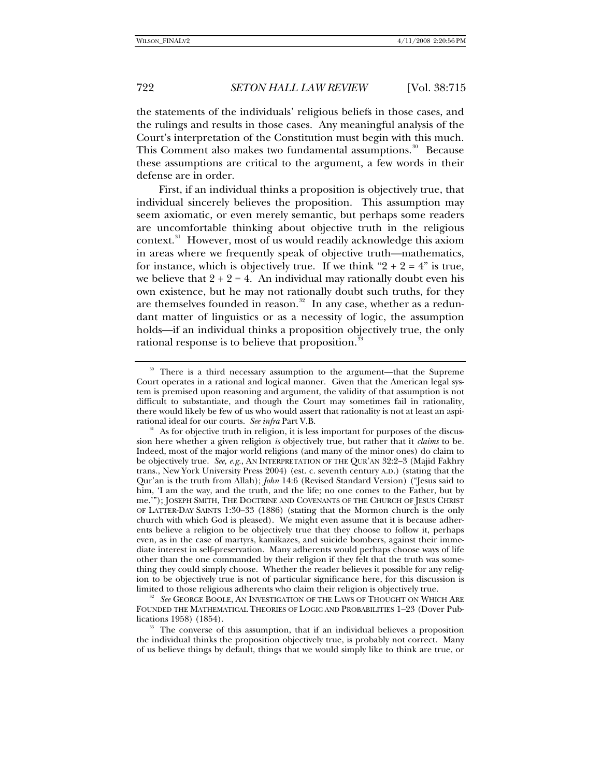the statements of the individuals' religious beliefs in those cases, and the rulings and results in those cases. Any meaningful analysis of the Court's interpretation of the Constitution must begin with this much. This Comment also makes two fundamental assumptions.<sup>[30](#page-7-0)</sup> Because these assumptions are critical to the argument, a few words in their defense are in order.

First, if an individual thinks a proposition is objectively true, that individual sincerely believes the proposition. This assumption may seem axiomatic, or even merely semantic, but perhaps some readers are uncomfortable thinking about objective truth in the religious context.<sup>[31](#page-7-1)</sup> However, most of us would readily acknowledge this axiom in areas where we frequently speak of objective truth—mathematics, for instance, which is objectively true. If we think " $2 + 2 = 4$ " is true, we believe that  $2 + 2 = 4$ . An individual may rationally doubt even his own existence, but he may not rationally doubt such truths, for they are themselves founded in reason. $32$  In any case, whether as a redundant matter of linguistics or as a necessity of logic, the assumption holds—if an individual thinks a proposition objectively true, the only rational response is to believe that proposition.<sup>3</sup>

<span id="page-7-2"></span><sup>32</sup> See GEORGE BOOLE, AN INVESTIGATION OF THE LAWS OF THOUGHT ON WHICH ARE FOUNDED THE MATHEMATICAL THEORIES OF LOGIC AND PROBABILITIES 1-23 (Dover Pub-<br>lications 1958) (1854).

<span id="page-7-0"></span><sup>&</sup>lt;sup>30</sup> There is a third necessary assumption to the argument—that the Supreme Court operates in a rational and logical manner. Given that the American legal system is premised upon reasoning and argument, the validity of that assumption is not difficult to substantiate, and though the Court may sometimes fail in rationality, there would likely be few of us who would assert that rationality is not at least an aspi-

<span id="page-7-1"></span>rational ideal for our courts. *See infra* Part V.B.<br><sup>31</sup> As for objective truth in religion, it is less important for purposes of the discussion here whether a given religion *is* objectively true, but rather that it *claims* to be. Indeed, most of the major world religions (and many of the minor ones) do claim to be objectively true. *See, e.g.*, AN INTERPRETATION OF THE QUR'AN 32:2–3 (Majid Fakhry trans., New York University Press 2004) (est. c. seventh century A.D.) (stating that the Qur'an is the truth from Allah); *John* 14:6 (Revised Standard Version) ("Jesus said to him, 'I am the way, and the truth, and the life; no one comes to the Father, but by me.'"); JOSEPH SMITH, THE DOCTRINE AND COVENANTS OF THE CHURCH OF JESUS CHRIST OF LATTER-DAY SAINTS 1:30–33 (1886) (stating that the Mormon church is the only church with which God is pleased). We might even assume that it is because adherents believe a religion to be objectively true that they choose to follow it, perhaps even, as in the case of martyrs, kamikazes, and suicide bombers, against their immediate interest in self-preservation. Many adherents would perhaps choose ways of life other than the one commanded by their religion if they felt that the truth was something they could simply choose. Whether the reader believes it possible for any religion to be objectively true is not of particular significance here, for this discussion is

<span id="page-7-3"></span><sup>&</sup>lt;sup>33</sup> The converse of this assumption, that if an individual believes a proposition the individual thinks the proposition objectively true, is probably not correct. Many of us believe things by default, things that we would simply like to think are true, or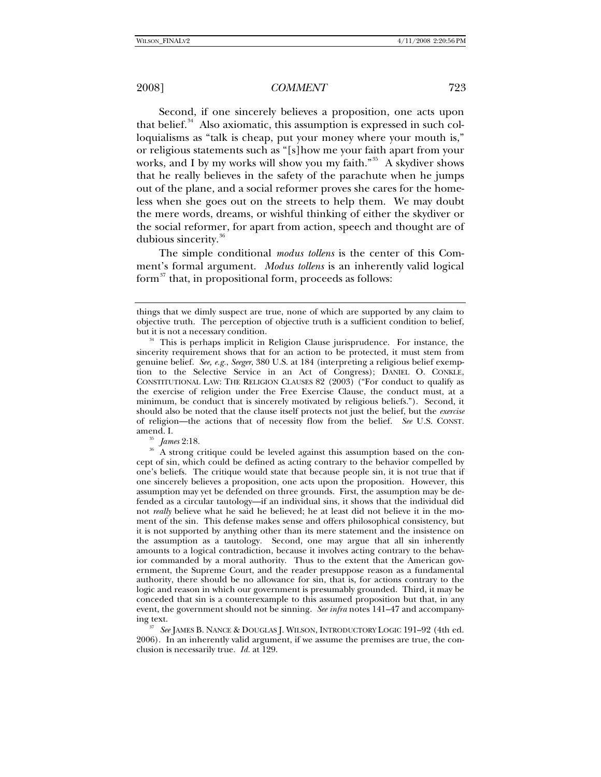Second, if one sincerely believes a proposition, one acts upon that belief. $34$  Also axiomatic, this assumption is expressed in such colloquialisms as "talk is cheap, put your money where your mouth is," or religious statements such as "[s]how me your faith apart from your works, and I by my works will show you my faith."<sup>[35](#page-8-1)</sup> A skydiver shows that he really believes in the safety of the parachute when he jumps out of the plane, and a social reformer proves she cares for the homeless when she goes out on the streets to help them. We may doubt the mere words, dreams, or wishful thinking of either the skydiver or the social reformer, for apart from action, speech and thought are of dubious sincerity.[36](#page-8-2)

The simple conditional *modus tollens* is the center of this Comment's formal argument. *Modus tollens* is an inherently valid logical form $^{37}$  $^{37}$  $^{37}$  that, in propositional form, proceeds as follows:

things that we dimly suspect are true, none of which are supported by any claim to objective truth. The perception of objective truth is a sufficient condition to belief,

<span id="page-8-0"></span>but it is not a necessary condition.<br><sup>34</sup> This is perhaps implicit in Religion Clause jurisprudence. For instance, the sincerity requirement shows that for an action to be protected, it must stem from genuine belief. *See, e.g.*, *Seeger*, 380 U.S. at 184 (interpreting a religious belief exemption to the Selective Service in an Act of Congress); DANIEL O. CONKLE, CONSTITUTIONAL LAW: THE RELIGION CLAUSES 82 (2003) ("For conduct to qualify as the exercise of religion under the Free Exercise Clause, the conduct must, at a minimum, be conduct that is sincerely motivated by religious beliefs."). Second, it should also be noted that the clause itself protects not just the belief, but the *exercise*  of religion—the actions that of necessity flow from the belief. *See* U.S. CONST. amend. I.

<span id="page-8-2"></span><span id="page-8-1"></span><sup>&</sup>lt;sup>35</sup> *James* 2:18.<br><sup>36</sup> A strong critique could be leveled against this assumption based on the concept of sin, which could be defined as acting contrary to the behavior compelled by one's beliefs. The critique would state that because people sin, it is not true that if one sincerely believes a proposition, one acts upon the proposition. However, this assumption may yet be defended on three grounds. First, the assumption may be defended as a circular tautology—if an individual sins, it shows that the individual did not *really* believe what he said he believed; he at least did not believe it in the moment of the sin. This defense makes sense and offers philosophical consistency, but it is not supported by anything other than its mere statement and the insistence on the assumption as a tautology. Second, one may argue that all sin inherently amounts to a logical contradiction, because it involves acting contrary to the behavior commanded by a moral authority. Thus to the extent that the American government, the Supreme Court, and the reader presuppose reason as a fundamental authority, there should be no allowance for sin, that is, for actions contrary to the logic and reason in which our government is presumably grounded. Third, it may be conceded that sin is a counterexample to this assumed proposition but that, in any event, the government should not be sinning. *See infra* notes 141–47 and accompanying text. 37 *See* JAMES B. NANCE & DOUGLAS J. WILSON, INTRODUCTORY LOGIC 191–92 (4th ed.

<span id="page-8-3"></span><sup>2006).</sup> In an inherently valid argument, if we assume the premises are true, the conclusion is necessarily true. *Id.* at 129.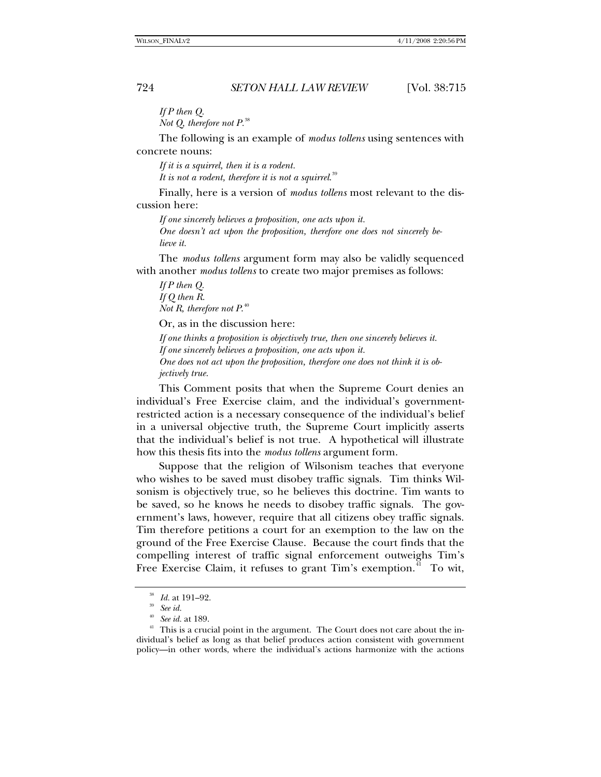*If P then Q. Not Q, therefore not P.*[38](#page-9-0)

The following is an example of *modus tollens* using sentences with concrete nouns:

*If it is a squirrel, then it is a rodent. It is not a rodent, therefore it is not a squirrel*. [39](#page-9-1)

Finally, here is a version of *modus tollens* most relevant to the discussion here:

*If one sincerely believes a proposition, one acts upon it. One doesn't act upon the proposition, therefore one does not sincerely believe it.* 

The *modus tollens* argument form may also be validly sequenced with another *modus tollens* to create two major premises as follows:

*If P then Q. If Q then R. Not R, therefore not P*. [40](#page-9-2)

Or, as in the discussion here:

*If one thinks a proposition is objectively true, then one sincerely believes it. If one sincerely believes a proposition, one acts upon it. One does not act upon the proposition, therefore one does not think it is objectively true.* 

This Comment posits that when the Supreme Court denies an individual's Free Exercise claim, and the individual's governmentrestricted action is a necessary consequence of the individual's belief in a universal objective truth, the Supreme Court implicitly asserts that the individual's belief is not true. A hypothetical will illustrate how this thesis fits into the *modus tollens* argument form.

Suppose that the religion of Wilsonism teaches that everyone who wishes to be saved must disobey traffic signals. Tim thinks Wilsonism is objectively true, so he believes this doctrine. Tim wants to be saved, so he knows he needs to disobey traffic signals. The government's laws, however, require that all citizens obey traffic signals. Tim therefore petitions a court for an exemption to the law on the ground of the Free Exercise Clause. Because the court finds that the compelling interest of traffic signal enforcement outweighs Tim's Free Exercise Claim, it refuses to grant Tim's exemption.<sup>[41](#page-9-3)</sup> To wit,

<sup>38</sup> *Id.* at 191–92. 39 *See id.*

<span id="page-9-3"></span><span id="page-9-2"></span><span id="page-9-1"></span><span id="page-9-0"></span><sup>&</sup>lt;sup>41</sup> This is a crucial point in the argument. The Court does not care about the individual's belief as long as that belief produces action consistent with government policy—in other words, where the individual's actions harmonize with the actions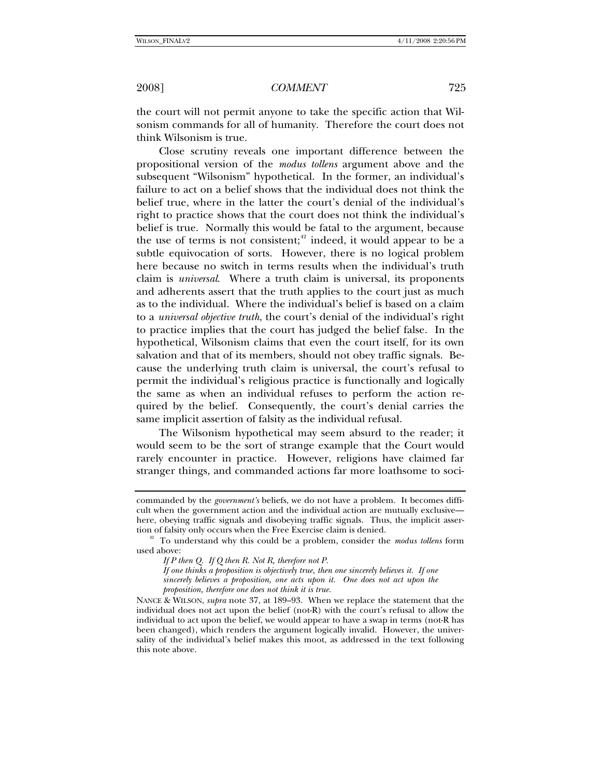the court will not permit anyone to take the specific action that Wilsonism commands for all of humanity. Therefore the court does not think Wilsonism is true.

Close scrutiny reveals one important difference between the propositional version of the *modus tollens* argument above and the subsequent "Wilsonism" hypothetical. In the former, an individual's failure to act on a belief shows that the individual does not think the belief true, where in the latter the court's denial of the individual's right to practice shows that the court does not think the individual's belief is true. Normally this would be fatal to the argument, because the use of terms is not consistent;<sup>[42](#page-10-0)</sup> indeed, it would appear to be a subtle equivocation of sorts. However, there is no logical problem here because no switch in terms results when the individual's truth claim is *universal*. Where a truth claim is universal, its proponents and adherents assert that the truth applies to the court just as much as to the individual. Where the individual's belief is based on a claim to a *universal objective truth*, the court's denial of the individual's right to practice implies that the court has judged the belief false. In the hypothetical, Wilsonism claims that even the court itself, for its own salvation and that of its members, should not obey traffic signals. Because the underlying truth claim is universal, the court's refusal to permit the individual's religious practice is functionally and logically the same as when an individual refuses to perform the action required by the belief. Consequently, the court's denial carries the same implicit assertion of falsity as the individual refusal.

The Wilsonism hypothetical may seem absurd to the reader; it would seem to be the sort of strange example that the Court would rarely encounter in practice. However, religions have claimed far stranger things, and commanded actions far more loathsome to soci-

commanded by the *government's* beliefs, we do not have a problem. It becomes difficult when the government action and the individual action are mutually exclusive here, obeying traffic signals and disobeying traffic signals. Thus, the implicit assertion of falsity only occurs when the Free Exercise claim is denied. 42 To understand why this could be a problem, consider the *modus tollens* form

<span id="page-10-0"></span>used above:

*If P then Q. If Q then R. Not R, therefore not P. If one thinks a proposition is objectively true, then one sincerely believes it. If one sincerely believes a proposition, one acts upon it. One does not act upon the proposition, therefore one does not think it is true.*

NANCE & WILSON, *supra* note 37, at 189–93. When we replace the statement that the individual does not act upon the belief (not-R) with the court's refusal to allow the individual to act upon the belief, we would appear to have a swap in terms (not-R has been changed), which renders the argument logically invalid. However, the universality of the individual's belief makes this moot, as addressed in the text following this note above.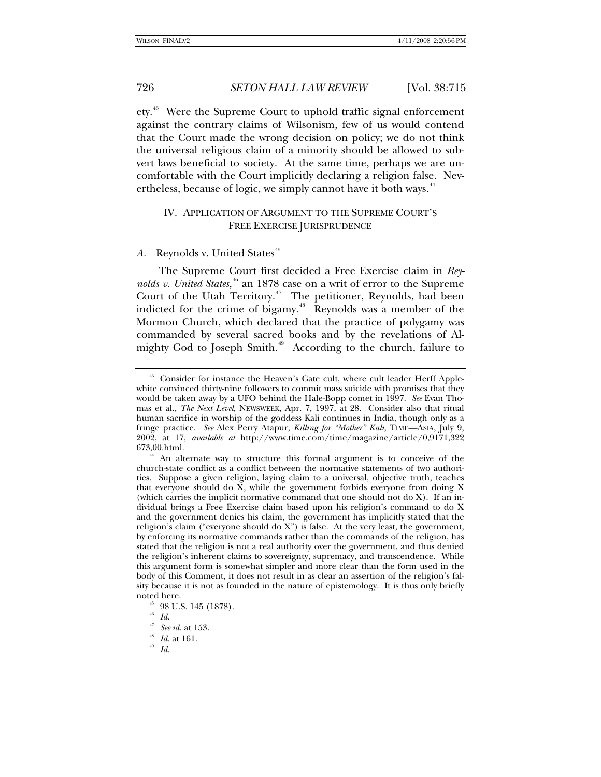ety.<sup>[43](#page-11-0)</sup> Were the Supreme Court to uphold traffic signal enforcement against the contrary claims of Wilsonism, few of us would contend that the Court made the wrong decision on policy; we do not think the universal religious claim of a minority should be allowed to subvert laws beneficial to society. At the same time, perhaps we are uncomfortable with the Court implicitly declaring a religion false. Nev-ertheless, because of logic, we simply cannot have it both ways.<sup>[44](#page-11-1)</sup>

## IV. APPLICATION OF ARGUMENT TO THE SUPREME COURT'S FREE EXERCISE JURISPRUDENCE

## A. Reynolds v. United States<sup>[45](#page-11-2)</sup>

The Supreme Court first decided a Free Exercise claim in *Rey-*nolds v. United States,<sup>[46](#page-11-3)</sup> an 1878 case on a writ of error to the Supreme Court of the Utah Territory.<sup>[47](#page-11-4)</sup> The petitioner, Reynolds, had been indicted for the crime of bigamy.<sup>[48](#page-11-5)</sup> Reynolds was a member of the Mormon Church, which declared that the practice of polygamy was commanded by several sacred books and by the revelations of Al-mighty God to Joseph Smith.<sup>[49](#page-11-6)</sup> According to the church, failure to

<span id="page-11-6"></span><span id="page-11-5"></span><span id="page-11-4"></span>

<span id="page-11-0"></span><sup>&</sup>lt;sup>43</sup> Consider for instance the Heaven's Gate cult, where cult leader Herff Applewhite convinced thirty-nine followers to commit mass suicide with promises that they would be taken away by a UFO behind the Hale-Bopp comet in 1997. *See* Evan Thomas et al., *The Next Level*, NEWSWEEK, Apr. 7, 1997, at 28. Consider also that ritual human sacrifice in worship of the goddess Kali continues in India, though only as a fringe practice. *See* Alex Perry Atapur, *Killing for "Mother" Kali*, TIME—ASIA, July 9, 2002, at 17, *available at* http://www.time.com/time/magazine/article/0,9171,322 673,00.html.

<span id="page-11-1"></span><sup>&</sup>lt;sup>44</sup> An alternate way to structure this formal argument is to conceive of the church-state conflict as a conflict between the normative statements of two authorities. Suppose a given religion, laying claim to a universal, objective truth, teaches that everyone should do X, while the government forbids everyone from doing X (which carries the implicit normative command that one should not do X). If an individual brings a Free Exercise claim based upon his religion's command to do X and the government denies his claim, the government has implicitly stated that the religion's claim ("everyone should do X") is false. At the very least, the government, by enforcing its normative commands rather than the commands of the religion, has stated that the religion is not a real authority over the government, and thus denied the religion's inherent claims to sovereignty, supremacy, and transcendence. While this argument form is somewhat simpler and more clear than the form used in the body of this Comment, it does not result in as clear an assertion of the religion's falsity because it is not as founded in the nature of epistemology. It is thus only briefly noted here.<br><sup>45</sup> 98 U.S. 145 (1878).

<span id="page-11-3"></span><span id="page-11-2"></span> $\frac{46}{47}$  *Id.* 

<sup>47</sup> *See id.* at 153. 48 *Id.* at 161. 49 *Id.*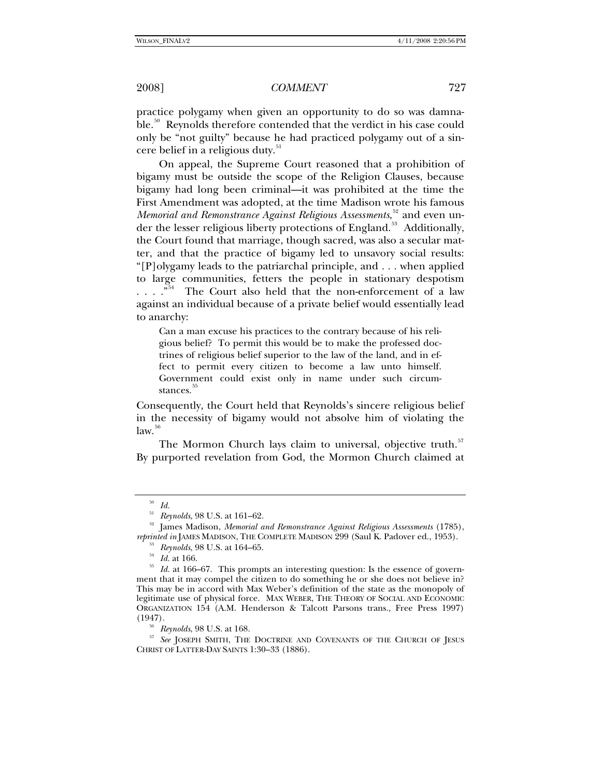practice polygamy when given an opportunity to do so was damna-ble.<sup>[50](#page-12-0)</sup> Reynolds therefore contended that the verdict in his case could only be "not guilty" because he had practiced polygamy out of a sin-cere belief in a religious duty.<sup>[51](#page-12-1)</sup>

On appeal, the Supreme Court reasoned that a prohibition of bigamy must be outside the scope of the Religion Clauses, because bigamy had long been criminal—it was prohibited at the time the First Amendment was adopted, at the time Madison wrote his famous Memorial and Remonstrance Against Religious Assessments,<sup>[52](#page-12-2)</sup> and even un-der the lesser religious liberty protections of England.<sup>[53](#page-12-3)</sup> Additionally, the Court found that marriage, though sacred, was also a secular matter, and that the practice of bigamy led to unsavory social results: "[P]olygamy leads to the patriarchal principle, and . . . when applied to large communities, fetters the people in stationary despotism  $\ldots$   $\ldots$  <sup>[54](#page-12-4)</sup> The Court also held that the non-enforcement of a law against an individual because of a private belief would essentially lead to anarchy:

Can a man excuse his practices to the contrary because of his religious belief? To permit this would be to make the professed doctrines of religious belief superior to the law of the land, and in effect to permit every citizen to become a law unto himself. Government could exist only in name under such circumstances.

Consequently, the Court held that Reynolds's sincere religious belief in the necessity of bigamy would not absolve him of violating the  $law.<sup>56</sup>$  $law.<sup>56</sup>$  $law.<sup>56</sup>$ 

The Mormon Church lays claim to universal, objective truth.<sup>[57](#page-12-7)</sup> By purported revelation from God, the Mormon Church claimed at

 $10^{50}$  *Id.*<br>  $Reynolds,$   $98$  U.S. at 161–62.

<span id="page-12-2"></span><span id="page-12-1"></span><span id="page-12-0"></span><sup>&</sup>lt;sup>52</sup> James Madison, *Memorial and Remonstrance Against Religious Assessments* (1785), *reprinted in* JAMES MADISON, THE COMPLETE MADISON 299 (Saul K. Padover ed., 1953).

<span id="page-12-5"></span><span id="page-12-4"></span><span id="page-12-3"></span><sup>&</sup>lt;sup>53</sup> Reynolds, 98 U.S. at 164–65.<br><sup>54</sup> Id. at 166.<br><sup>55</sup> Id. at 166–67. This prompts an interesting question: Is the essence of government that it may compel the citizen to do something he or she does not believe in? This may be in accord with Max Weber's definition of the state as the monopoly of legitimate use of physical force. MAX WEBER, THE THEORY OF SOCIAL AND ECONOMIC ORGANIZATION 154 (A.M. Henderson & Talcott Parsons trans., Free Press 1997)

<span id="page-12-7"></span><span id="page-12-6"></span><sup>(1947). 56</sup> *Reynolds*, 98 U.S. at 168. 57 *See* JOSEPH SMITH, THE DOCTRINE AND COVENANTS OF THE CHURCH OF JESUS CHRIST OF LATTER-DAY SAINTS 1:30–33 (1886).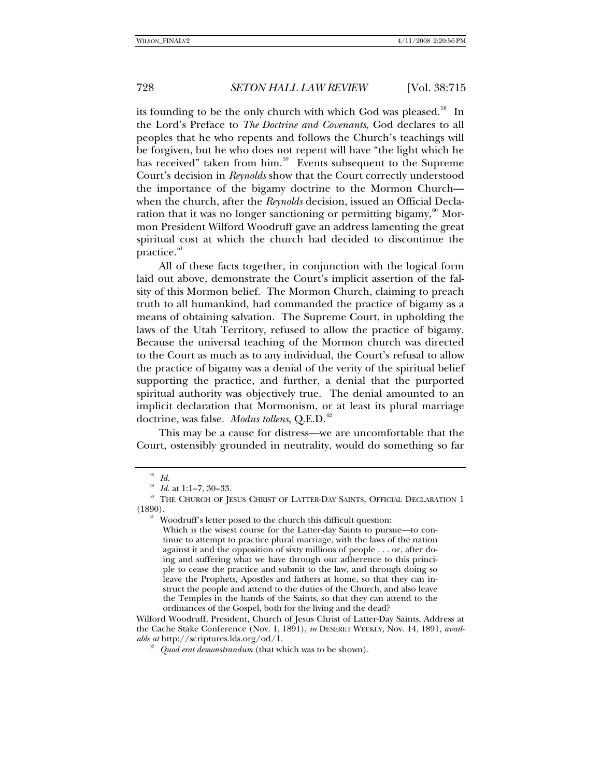its founding to be the only church with which God was pleased.<sup>[58](#page-13-0)</sup> In the Lord's Preface to *The Doctrine and Covenants*, God declares to all peoples that he who repents and follows the Church's teachings will be forgiven, but he who does not repent will have "the light which he has received" taken from him.<sup>[59](#page-13-1)</sup> Events subsequent to the Supreme Court's decision in *Reynolds* show that the Court correctly understood the importance of the bigamy doctrine to the Mormon Church when the church, after the *Reynolds* decision, issued an Official Declaration that it was no longer sanctioning or permitting bigamy, $\frac{60}{3}$  $\frac{60}{3}$  $\frac{60}{3}$  Mormon President Wilford Woodruff gave an address lamenting the great spiritual cost at which the church had decided to discontinue the practice.<sup>[61](#page-13-3)</sup>

All of these facts together, in conjunction with the logical form laid out above, demonstrate the Court's implicit assertion of the falsity of this Mormon belief. The Mormon Church, claiming to preach truth to all humankind, had commanded the practice of bigamy as a means of obtaining salvation. The Supreme Court, in upholding the laws of the Utah Territory, refused to allow the practice of bigamy. Because the universal teaching of the Mormon church was directed to the Court as much as to any individual, the Court's refusal to allow the practice of bigamy was a denial of the verity of the spiritual belief supporting the practice, and further, a denial that the purported spiritual authority was objectively true. The denial amounted to an implicit declaration that Mormonism, or at least its plural marriage doctrine, was false. *Modus tollens*, Q.E.D.<sup>[62](#page-13-4)</sup>

This may be a cause for distress—we are uncomfortable that the Court, ostensibly grounded in neutrality, would do something so far

Which is the wisest course for the Latter-day Saints to pursue—to con-

<sup>58</sup> *Id.*

<span id="page-13-3"></span><span id="page-13-2"></span><span id="page-13-1"></span><span id="page-13-0"></span><sup>&</sup>lt;sup>59</sup> Id. at 1:1–7, 30–33.<br><sup>60</sup> THE CHURCH OF JESUS CHRIST OF LATTER-DAY SAINTS, OFFICIAL DECLARATION 1  $(1890)$ .<br><sup>61</sup> Woodruff's letter posed to the church this difficult question:

tinue to attempt to practice plural marriage, with the laws of the nation against it and the opposition of sixty millions of people . . . or, after doing and suffering what we have through our adherence to this principle to cease the practice and submit to the law, and through doing so leave the Prophets, Apostles and fathers at home, so that they can instruct the people and attend to the duties of the Church, and also leave the Temples in the hands of the Saints, so that they can attend to the ordinances of the Gospel, both for the living and the dead?

<span id="page-13-4"></span>Wilford Woodruff, President, Church of Jesus Christ of Latter-Day Saints, Address at the Cache Stake Conference (Nov. 1, 1891), *in* DESERET WEEKLY, Nov. 14, 1891, *available at* http://scriptures.lds.org/od/1. 62 *Quod erat demonstrandum* (that which was to be shown).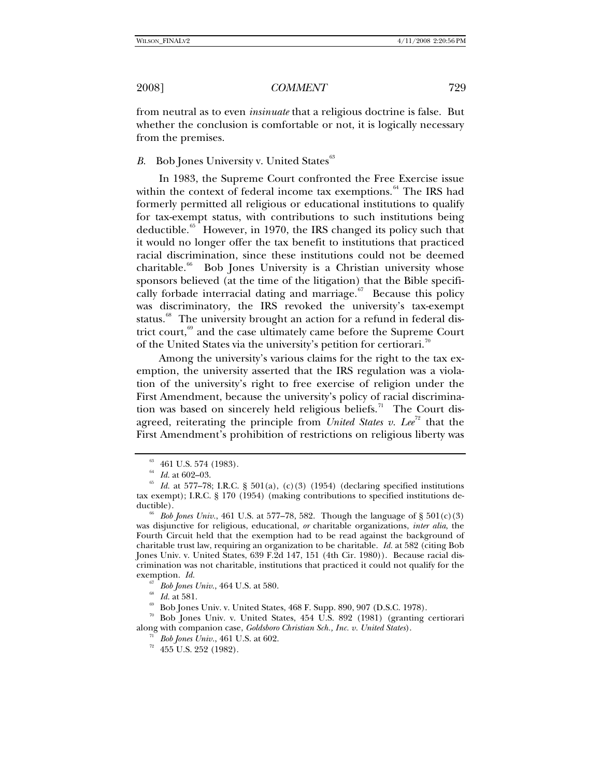from neutral as to even *insinuate* that a religious doctrine is false. But whether the conclusion is comfortable or not, it is logically necessary from the premises.

*B.* Bob Jones University v. United States<sup>[63](#page-14-0)</sup>

In 1983, the Supreme Court confronted the Free Exercise issue within the context of federal income tax exemptions.<sup>[64](#page-14-1)</sup> The IRS had formerly permitted all religious or educational institutions to qualify for tax-exempt status, with contributions to such institutions being deductible.<sup>[65](#page-14-2)</sup> However, in 1970, the IRS changed its policy such that it would no longer offer the tax benefit to institutions that practiced racial discrimination, since these institutions could not be deemed charitable.<sup>[66](#page-14-3)</sup> Bob Jones University is a Christian university whose sponsors believed (at the time of the litigation) that the Bible specifically forbade interracial dating and marriage. $67$  Because this policy was discriminatory, the IRS revoked the university's tax-exempt status.<sup>[68](#page-14-5)</sup> The university brought an action for a refund in federal district court, $69$  and the case ultimately came before the Supreme Court of the United States via the university's petition for certiorari.<sup>[70](#page-14-7)</sup>

Among the university's various claims for the right to the tax exemption, the university asserted that the IRS regulation was a violation of the university's right to free exercise of religion under the First Amendment, because the university's policy of racial discrimina-tion was based on sincerely held religious beliefs.<sup>[71](#page-14-8)</sup> The Court disagreed, reiterating the principle from *United States v. Lee*<sup>[72](#page-14-9)</sup> that the First Amendment's prohibition of restrictions on religious liberty was

<span id="page-14-9"></span><span id="page-14-8"></span><span id="page-14-7"></span><span id="page-14-6"></span><span id="page-14-5"></span><span id="page-14-4"></span>70 Bob Jones Univ. v. United States, 454 U.S. 892 (1981) (granting certiorari along with companion case, *Goldsboro Christian Sch., Inc. v. United States*). <sup>71</sup> *Bob Jones Univ.*, 461 U.S. at 602. <sup>72</sup> 455 U.S. 252 (1982).

 $^{63}$  461 U.S. 574 (1983).<br><sup>64</sup> Id. at 602–03.

<span id="page-14-2"></span><span id="page-14-1"></span><span id="page-14-0"></span><sup>&</sup>lt;sup>65</sup> Id. at 577-78; I.R.C. § 501(a), (c)(3) (1954) (declaring specified institutions tax exempt); I.R.C. § 170 (1954) (making contributions to specified institutions deductible).<br><sup>66</sup> *Bob Jones Univ.*, 461 U.S. at 577–78, 582. Though the language of § 501(c)(3)

<span id="page-14-3"></span>was disjunctive for religious, educational, *or* charitable organizations, *inter alia*, the Fourth Circuit held that the exemption had to be read against the background of charitable trust law, requiring an organization to be charitable. *Id.* at 582 (citing Bob Jones Univ. v. United States, 639 F.2d 147, 151 (4th Cir. 1980)). Because racial discrimination was not charitable, institutions that practiced it could not qualify for the exemption. *Id.*<br><sup>67</sup> *Bob Jones Univ.*, 464 U.S. at 580.

<sup>&</sup>lt;sup>68</sup> *Id.* at 581.<br><sup>69</sup> Bob Jones Univ. v. United States, 468 F. Supp. 890, 907 (D.S.C. 1978).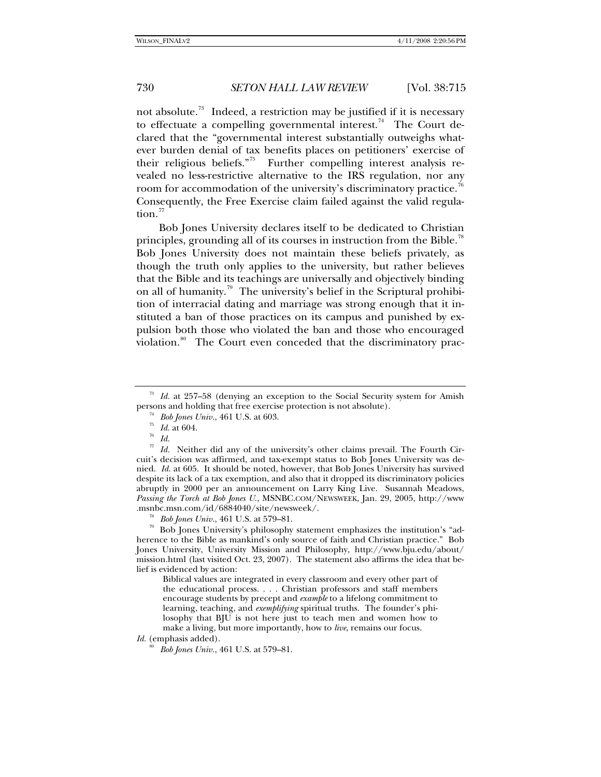not absolute.<sup>[73](#page-15-0)</sup> Indeed, a restriction may be justified if it is necessary to effectuate a compelling governmental interest.<sup>[74](#page-15-1)</sup> The Court declared that the "governmental interest substantially outweighs whatever burden denial of tax benefits places on petitioners' exercise of their religious beliefs."<sup>[75](#page-15-2)</sup> Further compelling interest analysis revealed no less-restrictive alternative to the IRS regulation, nor any room for accommodation of the university's discriminatory practice.<sup>[76](#page-15-3)</sup> Consequently, the Free Exercise claim failed against the valid regula- $\text{tion.}^{77}$  $\text{tion.}^{77}$  $\text{tion.}^{77}$ 

Bob Jones University declares itself to be dedicated to Christian principles, grounding all of its courses in instruction from the Bible.<sup>18</sup> Bob Jones University does not maintain these beliefs privately, as though the truth only applies to the university, but rather believes that the Bible and its teachings are universally and objectively binding on all of humanity.<sup>[79](#page-15-6)</sup> The university's belief in the Scriptural prohibition of interracial dating and marriage was strong enough that it instituted a ban of those practices on its campus and punished by expulsion both those who violated the ban and those who encouraged violation.<sup>[80](#page-15-7)</sup> The Court even conceded that the discriminatory prac-

<span id="page-15-1"></span><span id="page-15-0"></span><sup>73</sup> *Id.* at 257–58 (denying an exception to the Social Security system for Amish persons and holding that free exercise protection is not absolute).<br><sup>74</sup> *Bob Jones Univ.*, 461 U.S. at 603.<br><sup>75</sup> *Id.* at 604.<br><sup>76</sup> *Id.* 

<span id="page-15-4"></span><span id="page-15-3"></span><span id="page-15-2"></span><sup>77</sup> *Id.* Neither did any of the university's other claims prevail. The Fourth Circuit's decision was affirmed, and tax-exempt status to Bob Jones University was denied. *Id.* at 605. It should be noted, however, that Bob Jones University has survived despite its lack of a tax exemption, and also that it dropped its discriminatory policies abruptly in 2000 per an announcement on Larry King Live. Susannah Meadows, *Passing the Torch at Bob Jones U.*, MSNBC.COM/NEWSWEEK, Jan. 29, 2005, http://www

<span id="page-15-6"></span><span id="page-15-5"></span><sup>.</sup>msnbc.msn.com/id/6884040/site/newsweek/. 78 *Bob Jones Univ.*, 461 U.S. at 579–81. 79 Bob Jones University's philosophy statement emphasizes the institution's "adherence to the Bible as mankind's only source of faith and Christian practice." Bob Jones University, University Mission and Philosophy, http://www.bju.edu/about/ mission.html (last visited Oct. 23, 2007). The statement also affirms the idea that belief is evidenced by action:

Biblical values are integrated in every classroom and every other part of the educational process. . . . Christian professors and staff members encourage students by precept and *example* to a lifelong commitment to learning, teaching, and *exemplifying* spiritual truths. The founder's philosophy that BJU is not here just to teach men and women how to make a living, but more importantly, how to *live*, remains our focus.

<span id="page-15-7"></span>*Id.* (emphasis added).

<sup>80</sup> *Bob Jones Univ.*, 461 U.S. at 579–81.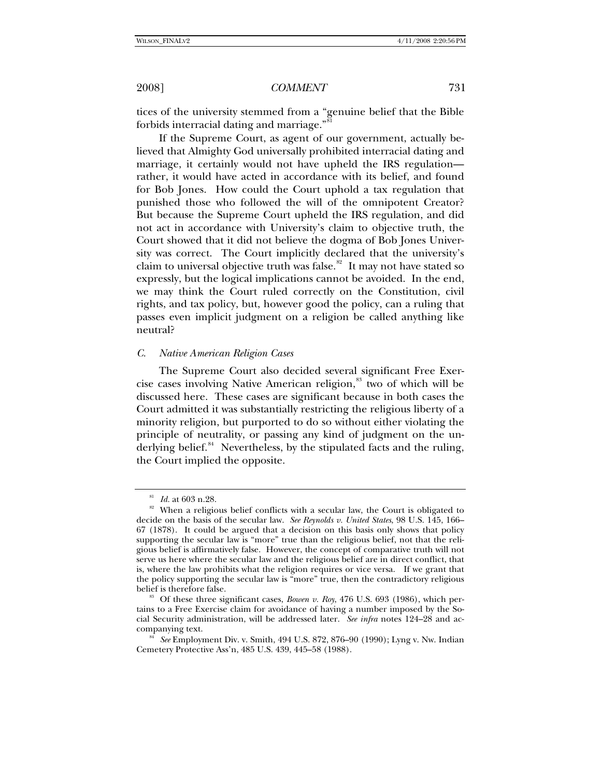tices of the university stemmed from a "genuine belief that the Bible forbids interracial dating and marriage."<sup>8</sup>

If the Supreme Court, as agent of our government, actually believed that Almighty God universally prohibited interracial dating and marriage, it certainly would not have upheld the IRS regulation rather, it would have acted in accordance with its belief, and found for Bob Jones. How could the Court uphold a tax regulation that punished those who followed the will of the omnipotent Creator? But because the Supreme Court upheld the IRS regulation, and did not act in accordance with University's claim to objective truth, the Court showed that it did not believe the dogma of Bob Jones University was correct. The Court implicitly declared that the university's claim to universal objective truth was false.<sup>[82](#page-16-1)</sup> It may not have stated so expressly, but the logical implications cannot be avoided. In the end, we may think the Court ruled correctly on the Constitution, civil rights, and tax policy, but, however good the policy, can a ruling that passes even implicit judgment on a religion be called anything like neutral?

### *C. Native American Religion Cases*

The Supreme Court also decided several significant Free Exer-cise cases involving Native American religion,<sup>[83](#page-16-2)</sup> two of which will be discussed here. These cases are significant because in both cases the Court admitted it was substantially restricting the religious liberty of a minority religion, but purported to do so without either violating the principle of neutrality, or passing any kind of judgment on the underlying belief. $84$  Nevertheless, by the stipulated facts and the ruling, the Court implied the opposite.

<span id="page-16-1"></span><span id="page-16-0"></span> $81$  *Id.* at 603 n.28. 828. 828. 82 When a religious belief conflicts with a secular law, the Court is obligated to decide on the basis of the secular law. *See Reynolds v. United States*, 98 U.S. 145, 166– 67 (1878). It could be argued that a decision on this basis only shows that policy supporting the secular law is "more" true than the religious belief, not that the religious belief is affirmatively false. However, the concept of comparative truth will not serve us here where the secular law and the religious belief are in direct conflict, that is, where the law prohibits what the religion requires or vice versa. If we grant that the policy supporting the secular law is "more" true, then the contradictory religious

<span id="page-16-2"></span> $^{83}$  Of these three significant cases, *Bowen v. Roy*, 476 U.S. 693 (1986), which pertains to a Free Exercise claim for avoidance of having a number imposed by the Social Security administration, will be addressed later. *See infra* notes 124–28 and accompanying text. 84 *See* Employment Div. v. Smith, 494 U.S. 872, 876–90 (1990); Lyng v. Nw. Indian

<span id="page-16-3"></span>Cemetery Protective Ass'n, 485 U.S. 439, 445–58 (1988).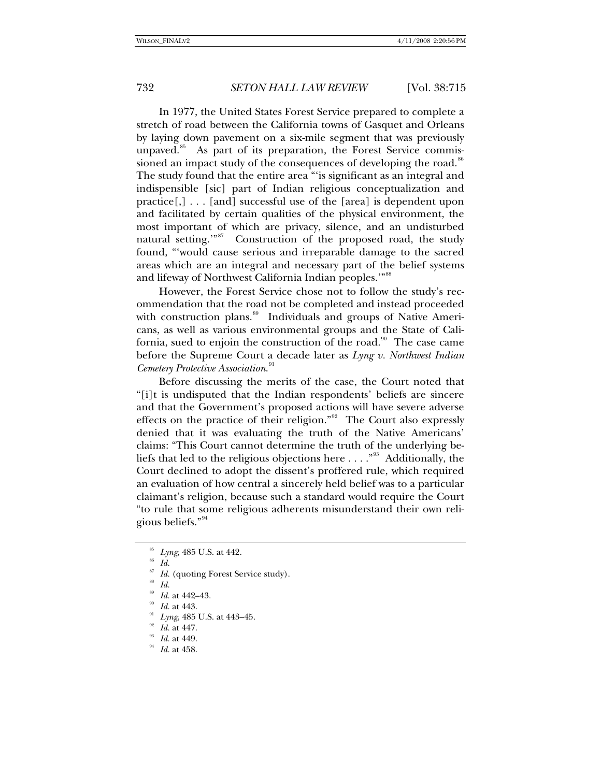In 1977, the United States Forest Service prepared to complete a stretch of road between the California towns of Gasquet and Orleans by laying down pavement on a six-mile segment that was previously unpaved.<sup>[85](#page-17-0)</sup> As part of its preparation, the Forest Service commis-sioned an impact study of the consequences of developing the road.<sup>[86](#page-17-1)</sup> The study found that the entire area "'is significant as an integral and indispensible [sic] part of Indian religious conceptualization and practice[,] . . . [and] successful use of the [area] is dependent upon and facilitated by certain qualities of the physical environment, the most important of which are privacy, silence, and an undisturbed natural setting."<sup>[87](#page-17-2)</sup> Construction of the proposed road, the study found, "'would cause serious and irreparable damage to the sacred areas which are an integral and necessary part of the belief systems and lifeway of Northwest California Indian peoples.'"<sup>[88](#page-17-3)</sup>

However, the Forest Service chose not to follow the study's recommendation that the road not be completed and instead proceeded with construction plans.<sup>[89](#page-17-4)</sup> Individuals and groups of Native Americans, as well as various environmental groups and the State of California, sued to enjoin the construction of the road. $90$  The case came before the Supreme Court a decade later as *Lyng v. Northwest Indian Cemetery Protective Association*. [91](#page-17-6)

Before discussing the merits of the case, the Court noted that "[i]t is undisputed that the Indian respondents' beliefs are sincere and that the Government's proposed actions will have severe adverse effects on the practice of their religion."[92](#page-17-7) The Court also expressly denied that it was evaluating the truth of the Native Americans' claims: "This Court cannot determine the truth of the underlying beliefs that led to the religious objections here  $\dots$ ."<sup>[93](#page-17-8)</sup> Additionally, the Court declined to adopt the dissent's proffered rule, which required an evaluation of how central a sincerely held belief was to a particular claimant's religion, because such a standard would require the Court "to rule that some religious adherents misunderstand their own religious beliefs."[94](#page-17-9)

 $\begin{array}{c} \text{87} \\ \text{88} \\ \text{89} \end{array}$  *Id.* at 442–43.

<sup>85</sup> *Lyng*, 485 U.S. at 442. 86 *Id.*

<span id="page-17-3"></span><span id="page-17-2"></span><span id="page-17-1"></span><span id="page-17-0"></span>

<span id="page-17-6"></span><span id="page-17-5"></span><span id="page-17-4"></span>

<sup>89</sup> *Id.* at 442–43. 90 *Id.* at 443. 91 *Lyng*, 485 U.S. at 443–45. 92 *Id.* at 447. 93 *Id.* at 449. 94 *Id.* at 458.

<span id="page-17-7"></span>

<span id="page-17-9"></span><span id="page-17-8"></span>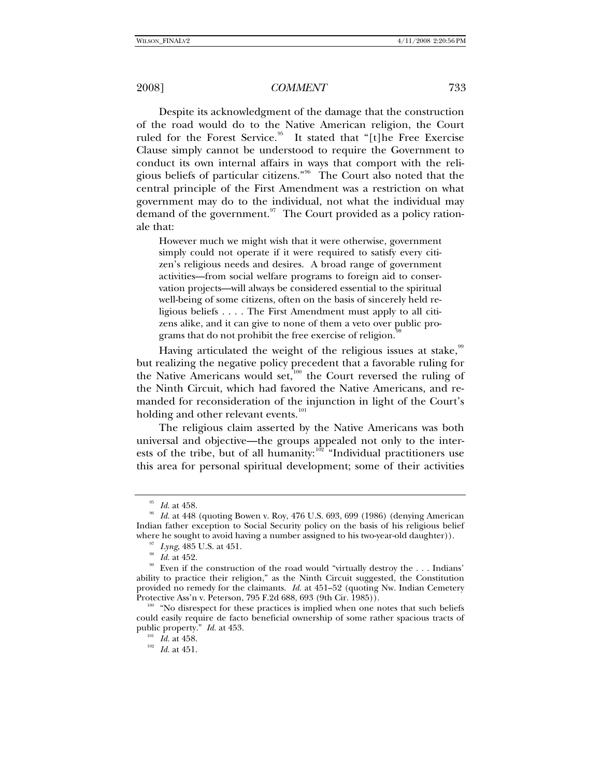Despite its acknowledgment of the damage that the construction of the road would do to the Native American religion, the Court ruled for the Forest Service.<sup>[95](#page-18-0)</sup> It stated that "[t]he Free Exercise Clause simply cannot be understood to require the Government to conduct its own internal affairs in ways that comport with the religious beliefs of particular citizens."[96](#page-18-1) The Court also noted that the central principle of the First Amendment was a restriction on what government may do to the individual, not what the individual may demand of the government. $97$  The Court provided as a policy rationale that:

However much we might wish that it were otherwise, government simply could not operate if it were required to satisfy every citizen's religious needs and desires. A broad range of government activities—from social welfare programs to foreign aid to conservation projects—will always be considered essential to the spiritual well-being of some citizens, often on the basis of sincerely held religious beliefs . . . . The First Amendment must apply to all citizens alike, and it can give to none of them a veto over public programs that do not prohibit the free exercise of religion.

Having articulated the weight of the religious issues at stake, $99$ but realizing the negative policy precedent that a favorable ruling for the Native Americans would set, $100$  the Court reversed the ruling of the Ninth Circuit, which had favored the Native Americans, and remanded for reconsideration of the injunction in light of the Court's holding and other relevant events.<sup>[101](#page-18-6)</sup>

The religious claim asserted by the Native Americans was both universal and objective—the groups appealed not only to the inter-ests of the tribe, but of all humanity:<sup>[102](#page-18-7)</sup> "Individual practitioners use this area for personal spiritual development; some of their activities

<span id="page-18-1"></span><span id="page-18-0"></span><sup>95</sup> *Id.* at 458. 96 *Id.* at 448 (quoting Bowen v. Roy, 476 U.S. 693, 699 (1986) (denying American Indian father exception to Social Security policy on the basis of his religious belief where he sought to avoid having a number assigned to his two-year-old daughter)).

<span id="page-18-4"></span><span id="page-18-3"></span><span id="page-18-2"></span><sup>&</sup>lt;sup>97</sup> Lyng, 485 U.S. at 451.<br><sup>98</sup> Id. at 452. <br><sup>99</sup> Even if the construction of the road would "virtually destroy the . . . Indians' ability to practice their religion," as the Ninth Circuit suggested, the Constitution provided no remedy for the claimants. *Id.* at 451–52 (quoting Nw. Indian Cemetery Protective Ass'n v. Peterson, 795 F.2d 688, 693 (9th Cir. 1985)).

<span id="page-18-7"></span><span id="page-18-6"></span><span id="page-18-5"></span> $P_{100}$  "No disrespect for these practices is implied when one notes that such beliefs could easily require de facto beneficial ownership of some rather spacious tracts of public property." *Id.* at 453. 101 *Id.* at 458. 102 *Id.* at 451.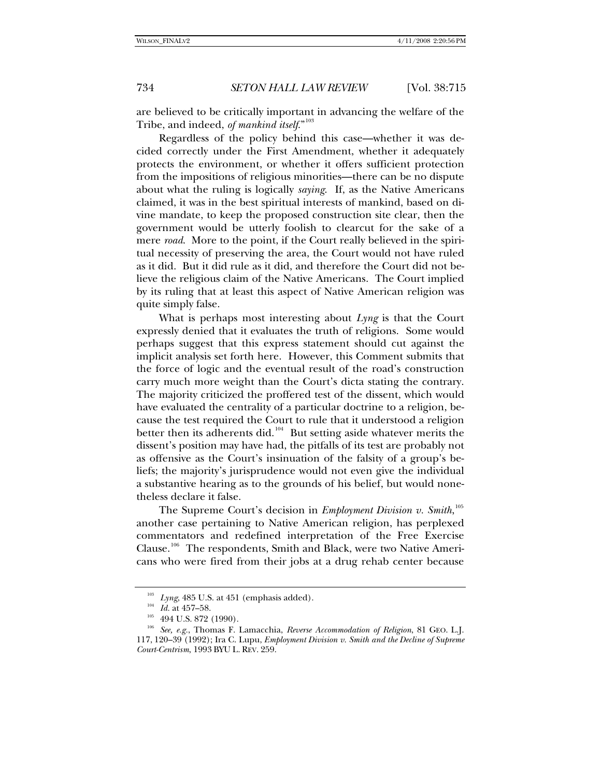are believed to be critically important in advancing the welfare of the Tribe, and indeed, *of mankind itself*."[103](#page-19-0)

Regardless of the policy behind this case—whether it was decided correctly under the First Amendment, whether it adequately protects the environment, or whether it offers sufficient protection from the impositions of religious minorities—there can be no dispute about what the ruling is logically *saying*. If, as the Native Americans claimed, it was in the best spiritual interests of mankind, based on divine mandate, to keep the proposed construction site clear, then the government would be utterly foolish to clearcut for the sake of a mere *road*. More to the point, if the Court really believed in the spiritual necessity of preserving the area, the Court would not have ruled as it did. But it did rule as it did, and therefore the Court did not believe the religious claim of the Native Americans. The Court implied by its ruling that at least this aspect of Native American religion was quite simply false.

What is perhaps most interesting about *Lyng* is that the Court expressly denied that it evaluates the truth of religions. Some would perhaps suggest that this express statement should cut against the implicit analysis set forth here. However, this Comment submits that the force of logic and the eventual result of the road's construction carry much more weight than the Court's dicta stating the contrary. The majority criticized the proffered test of the dissent, which would have evaluated the centrality of a particular doctrine to a religion, because the test required the Court to rule that it understood a religion better then its adherents did.<sup>[104](#page-19-1)</sup> But setting aside whatever merits the dissent's position may have had, the pitfalls of its test are probably not as offensive as the Court's insinuation of the falsity of a group's beliefs; the majority's jurisprudence would not even give the individual a substantive hearing as to the grounds of his belief, but would nonetheless declare it false.

The Supreme Court's decision in *Employment Division v. Smith*,<sup>[105](#page-19-2)</sup> another case pertaining to Native American religion, has perplexed commentators and redefined interpretation of the Free Exercise Clause.<sup>[106](#page-19-3)</sup> The respondents, Smith and Black, were two Native Americans who were fired from their jobs at a drug rehab center because

<span id="page-19-3"></span><span id="page-19-2"></span><span id="page-19-1"></span><span id="page-19-0"></span><sup>&</sup>lt;sup>103</sup> Lyng, 485 U.S. at 451 (emphasis added).<br><sup>105</sup> Id. at 457–58.<br><sup>105</sup> 494 U.S. 872 (1990).<br><sup>106</sup> See, e.g., Thomas F. Lamacchia, *Reverse Accommodation of Religion*, 81 GEO. L.J. 117, 120–39 (1992); Ira C. Lupu, *Employment Division v. Smith and the Decline of Supreme Court-Centrism*, 1993 BYU L. REV. 259.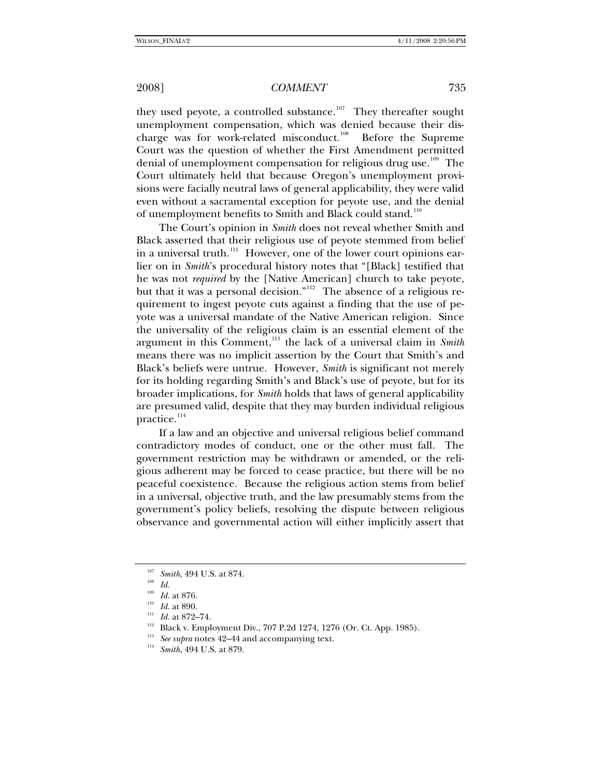they used peyote, a controlled substance.<sup>[107](#page-20-0)</sup> They thereafter sought unemployment compensation, which was denied because their dis-charge was for work-related misconduct.<sup>[108](#page-20-1)</sup> Before the Supreme Court was the question of whether the First Amendment permitted denial of unemployment compensation for religious drug use.<sup>[109](#page-20-2)</sup> The Court ultimately held that because Oregon's unemployment provisions were facially neutral laws of general applicability, they were valid even without a sacramental exception for peyote use, and the denial of unemployment benefits to Smith and Black could stand.<sup>[110](#page-20-3)</sup>

The Court's opinion in *Smith* does not reveal whether Smith and Black asserted that their religious use of peyote stemmed from belief in a universal truth.<sup>[111](#page-20-4)</sup> However, one of the lower court opinions earlier on in *Smith*'s procedural history notes that "[Black] testified that he was not *required* by the [Native American] church to take peyote, but that it was a personal decision."<sup>[112](#page-20-5)</sup> The absence of a religious requirement to ingest peyote cuts against a finding that the use of peyote was a universal mandate of the Native American religion. Since the universality of the religious claim is an essential element of the argument in this Comment,[113](#page-20-6) the lack of a universal claim in *Smith* means there was no implicit assertion by the Court that Smith's and Black's beliefs were untrue. However, *Smith* is significant not merely for its holding regarding Smith's and Black's use of peyote, but for its broader implications, for *Smith* holds that laws of general applicability are presumed valid, despite that they may burden individual religious practice.<sup>[114](#page-20-7)</sup>

If a law and an objective and universal religious belief command contradictory modes of conduct, one or the other must fall. The government restriction may be withdrawn or amended, or the religious adherent may be forced to cease practice, but there will be no peaceful coexistence. Because the religious action stems from belief in a universal, objective truth, and the law presumably stems from the government's policy beliefs, resolving the dispute between religious observance and governmental action will either implicitly assert that

<span id="page-20-1"></span><span id="page-20-0"></span><sup>&</sup>lt;sup>107</sup> *Smith*, 494 U.S. at 874.<br><sup>108</sup> *Id.* at 876.

<span id="page-20-3"></span><span id="page-20-2"></span>

<span id="page-20-6"></span><span id="page-20-5"></span><span id="page-20-4"></span>

<sup>&</sup>lt;sup>110</sup> *Id.* at 890.<br>
<sup>111</sup> *Id.* at 872–74.<br>
<sup>112</sup> Black v. Employment Div., 707 P.2d 1274, 1276 (Or. Ct. App. 1985).<br>
<sup>113</sup> *See supra* notes 42–44 and accompanying text.<br>
<sup>114</sup> *Smith*, 494 U.S. at 879.

<span id="page-20-7"></span>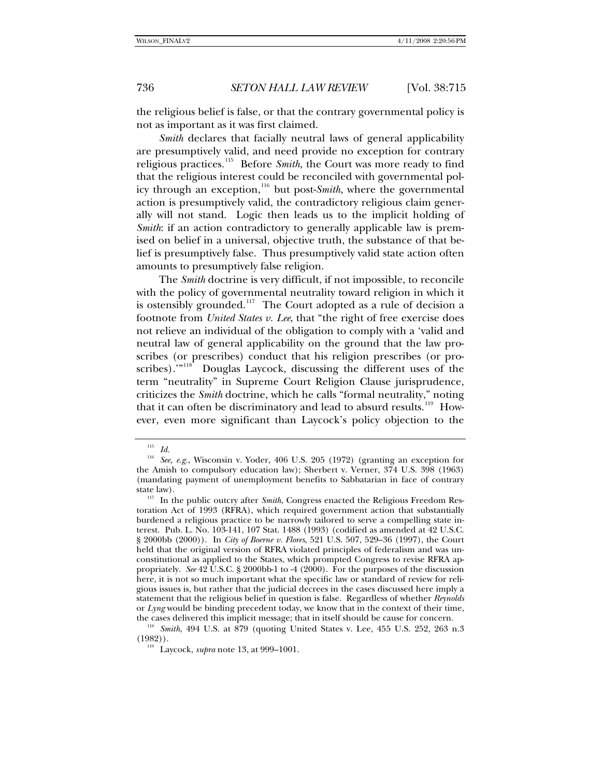the religious belief is false, or that the contrary governmental policy is not as important as it was first claimed.

*Smith* declares that facially neutral laws of general applicability are presumptively valid, and need provide no exception for contrary religious practices.[115](#page-21-0) Before *Smith*, the Court was more ready to find that the religious interest could be reconciled with governmental pol-icy through an exception,<sup>[116](#page-21-1)</sup> but post-*Smith*, where the governmental action is presumptively valid, the contradictory religious claim generally will not stand. Logic then leads us to the implicit holding of *Smith*: if an action contradictory to generally applicable law is premised on belief in a universal, objective truth, the substance of that belief is presumptively false. Thus presumptively valid state action often amounts to presumptively false religion.

The *Smith* doctrine is very difficult, if not impossible, to reconcile with the policy of governmental neutrality toward religion in which it is ostensibly grounded.<sup>[117](#page-21-2)</sup> The Court adopted as a rule of decision a footnote from *United States v. Lee*, that "the right of free exercise does not relieve an individual of the obligation to comply with a 'valid and neutral law of general applicability on the ground that the law proscribes (or prescribes) conduct that his religion prescribes (or pro-scribes).'"<sup>[118](#page-21-3)</sup> Douglas Laycock, discussing the different uses of the term "neutrality" in Supreme Court Religion Clause jurisprudence, criticizes the *Smith* doctrine, which he calls "formal neutrality," noting that it can often be discriminatory and lead to absurd results.<sup>[119](#page-21-4)</sup> However, even more significant than Laycock's policy objection to the

<sup>&</sup>lt;sup>115</sup> *Id.*<br><sup>116</sup> Sec

<span id="page-21-1"></span><span id="page-21-0"></span><sup>116</sup> *See, e.g.*, Wisconsin v. Yoder, 406 U.S. 205 (1972) (granting an exception for the Amish to compulsory education law); Sherbert v. Verner, 374 U.S. 398 (1963) (mandating payment of unemployment benefits to Sabbatarian in face of contrary state law).<br><sup>117</sup> In the public outcry after *Smith*, Congress enacted the Religious Freedom Res-

<span id="page-21-2"></span>toration Act of 1993 (RFRA), which required government action that substantially burdened a religious practice to be narrowly tailored to serve a compelling state interest. Pub. L. No. 103-141, 107 Stat. 1488 (1993) (codified as amended at 42 U.S.C. § 2000bb (2000)). In *City of Boerne v. Flores*, 521 U.S. 507, 529–36 (1997), the Court held that the original version of RFRA violated principles of federalism and was unconstitutional as applied to the States, which prompted Congress to revise RFRA appropriately. *See* 42 U.S.C. § 2000bb-1 to -4 (2000). For the purposes of the discussion here, it is not so much important what the specific law or standard of review for religious issues is, but rather that the judicial decrees in the cases discussed here imply a statement that the religious belief in question is false. Regardless of whether *Reynolds*  or *Lyng* would be binding precedent today, we know that in the context of their time,

<span id="page-21-4"></span><span id="page-21-3"></span>the cases delivered this implicit message; that in itself should be cause for concern. 118 *Smith*, 494 U.S. at 879 (quoting United States v. Lee, 455 U.S. 252, 263 n.3 (1982)). 119 Laycock, *supra* note 13, at 999–1001.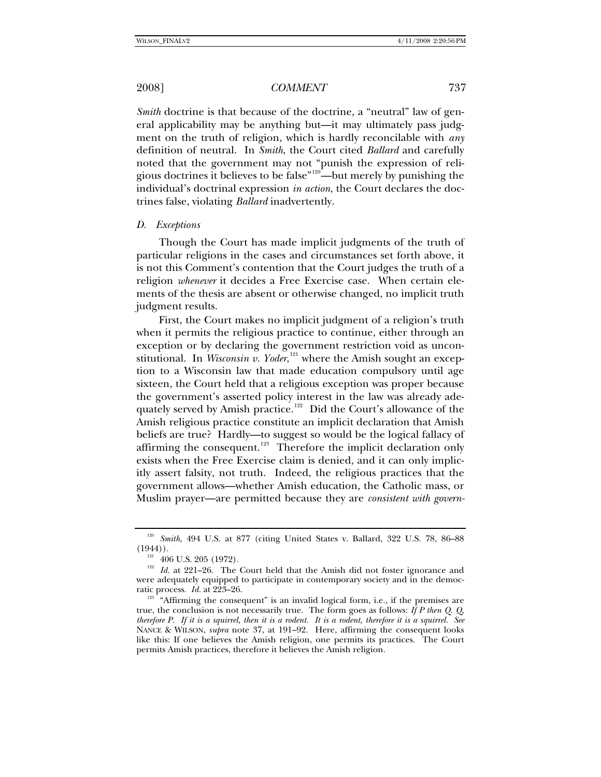*Smith* doctrine is that because of the doctrine, a "neutral" law of general applicability may be anything but—it may ultimately pass judgment on the truth of religion, which is hardly reconcilable with *any* definition of neutral. In *Smith*, the Court cited *Ballard* and carefully noted that the government may not "punish the expression of religious doctrines it believes to be false"[120](#page-22-0)—but merely by punishing the individual's doctrinal expression *in action*, the Court declares the doctrines false, violating *Ballard* inadvertently.

### *D. Exceptions*

Though the Court has made implicit judgments of the truth of particular religions in the cases and circumstances set forth above, it is not this Comment's contention that the Court judges the truth of a religion *whenever* it decides a Free Exercise case. When certain elements of the thesis are absent or otherwise changed, no implicit truth judgment results.

First, the Court makes no implicit judgment of a religion's truth when it permits the religious practice to continue, either through an exception or by declaring the government restriction void as unconstitutional. In *Wisconsin v. Yoder*,<sup>[121](#page-22-1)</sup> where the Amish sought an exception to a Wisconsin law that made education compulsory until age sixteen, the Court held that a religious exception was proper because the government's asserted policy interest in the law was already ade-quately served by Amish practice.<sup>[122](#page-22-2)</sup> Did the Court's allowance of the Amish religious practice constitute an implicit declaration that Amish beliefs are true? Hardly—to suggest so would be the logical fallacy of affirming the consequent.<sup>[123](#page-22-3)</sup> Therefore the implicit declaration only exists when the Free Exercise claim is denied, and it can only implicitly assert falsity, not truth. Indeed, the religious practices that the government allows—whether Amish education, the Catholic mass, or Muslim prayer—are permitted because they are *consistent with govern-*

<span id="page-22-0"></span><sup>&</sup>lt;sup>120</sup> Smith, 494 U.S. at 877 (citing United States v. Ballard, 322 U.S. 78, 86–88 (1944)).

<span id="page-22-2"></span><span id="page-22-1"></span><sup>&</sup>lt;sup>121</sup> 406 U.S. 205 (1972). <sup>122</sup> *Id.* at 221–26. The Court held that the Amish did not foster ignorance and were adequately equipped to participate in contemporary society and in the democratic process. *Id.* at 223–26.<br><sup>123</sup> "Affirming the consequent" is an invalid logical form, i.e., if the premises are

<span id="page-22-3"></span>true, the conclusion is not necessarily true. The form goes as follows: *If P then Q. Q, therefore P. If it is a squirrel, then it is a rodent. It is a rodent, therefore it is a squirrel. See* NANCE & WILSON, *supra* note 37, at 191–92. Here, affirming the consequent looks like this: If one believes the Amish religion, one permits its practices. The Court permits Amish practices, therefore it believes the Amish religion.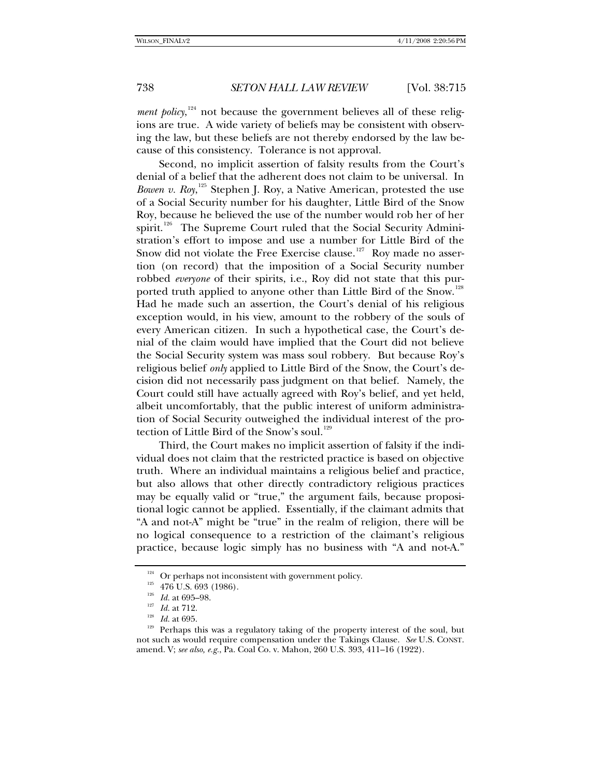ment policy,<sup>[124](#page-23-0)</sup> not because the government believes all of these religions are true. A wide variety of beliefs may be consistent with observing the law, but these beliefs are not thereby endorsed by the law because of this consistency. Tolerance is not approval.

Second, no implicit assertion of falsity results from the Court's denial of a belief that the adherent does not claim to be universal. In Bowen v. Roy,<sup>[125](#page-23-1)</sup> Stephen J. Roy, a Native American, protested the use of a Social Security number for his daughter, Little Bird of the Snow Roy, because he believed the use of the number would rob her of her spirit.<sup>[126](#page-23-2)</sup> The Supreme Court ruled that the Social Security Administration's effort to impose and use a number for Little Bird of the Snow did not violate the Free Exercise clause.<sup>[127](#page-23-3)</sup> Roy made no assertion (on record) that the imposition of a Social Security number robbed *everyone* of their spirits, i.e., Roy did not state that this pur-ported truth applied to anyone other than Little Bird of the Snow.<sup>[128](#page-23-4)</sup> Had he made such an assertion, the Court's denial of his religious exception would, in his view, amount to the robbery of the souls of every American citizen. In such a hypothetical case, the Court's denial of the claim would have implied that the Court did not believe the Social Security system was mass soul robbery. But because Roy's religious belief *only* applied to Little Bird of the Snow, the Court's decision did not necessarily pass judgment on that belief. Namely, the Court could still have actually agreed with Roy's belief, and yet held, albeit uncomfortably, that the public interest of uniform administration of Social Security outweighed the individual interest of the pro-tection of Little Bird of the Snow's soul.<sup>[129](#page-23-5)</sup>

Third, the Court makes no implicit assertion of falsity if the individual does not claim that the restricted practice is based on objective truth. Where an individual maintains a religious belief and practice, but also allows that other directly contradictory religious practices may be equally valid or "true," the argument fails, because propositional logic cannot be applied. Essentially, if the claimant admits that "A and not-A" might be "true" in the realm of religion, there will be no logical consequence to a restriction of the claimant's religious practice, because logic simply has no business with "A and not-A."

<span id="page-23-5"></span><span id="page-23-4"></span><span id="page-23-3"></span><span id="page-23-2"></span><span id="page-23-1"></span><span id="page-23-0"></span><sup>&</sup>lt;sup>124</sup> Or perhaps not inconsistent with government policy.<br><sup>125</sup> 476 U.S. 693 (1986).<br><sup>125</sup> *Id.* at 695–98.<br><sup>127</sup> *Id.* at 712.<br><sup>128</sup> *Id.* at 695.<br>**Perhaps this was a regulatory taking of the property interest of the sou** not such as would require compensation under the Takings Clause. *See* U.S. CONST. amend. V; *see also, e.g.*, Pa. Coal Co. v. Mahon, 260 U.S. 393, 411–16 (1922).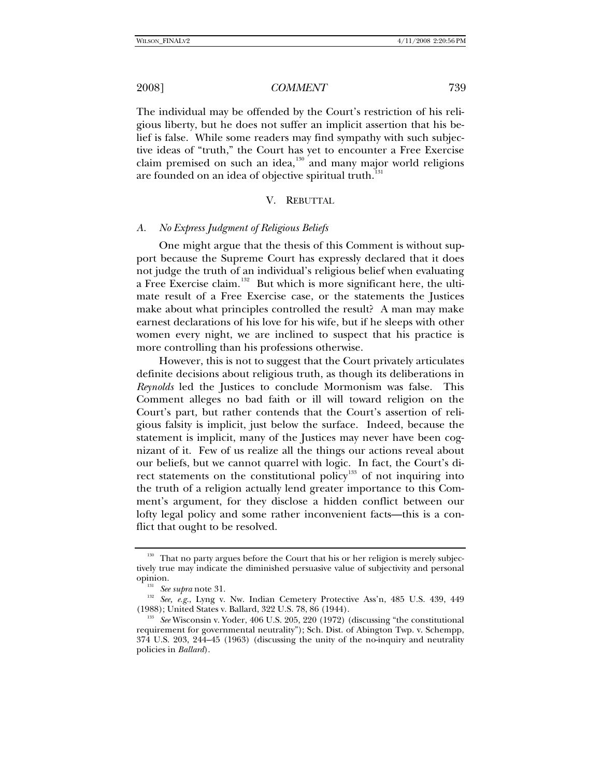The individual may be offended by the Court's restriction of his religious liberty, but he does not suffer an implicit assertion that his belief is false. While some readers may find sympathy with such subjective ideas of "truth," the Court has yet to encounter a Free Exercise claim premised on such an idea,<sup>[130](#page-24-0)</sup> and many major world religions are founded on an idea of objective spiritual truth.<sup>[131](#page-24-1)</sup>

### V. REBUTTAL

### *A. No Express Judgment of Religious Beliefs*

One might argue that the thesis of this Comment is without support because the Supreme Court has expressly declared that it does not judge the truth of an individual's religious belief when evaluating a Free Exercise claim.<sup>[132](#page-24-2)</sup> But which is more significant here, the ultimate result of a Free Exercise case, or the statements the Justices make about what principles controlled the result? A man may make earnest declarations of his love for his wife, but if he sleeps with other women every night, we are inclined to suspect that his practice is more controlling than his professions otherwise.

However, this is not to suggest that the Court privately articulates definite decisions about religious truth, as though its deliberations in *Reynolds* led the Justices to conclude Mormonism was false. This Comment alleges no bad faith or ill will toward religion on the Court's part, but rather contends that the Court's assertion of religious falsity is implicit, just below the surface. Indeed, because the statement is implicit, many of the Justices may never have been cognizant of it. Few of us realize all the things our actions reveal about our beliefs, but we cannot quarrel with logic. In fact, the Court's di-rect statements on the constitutional policy<sup>[133](#page-24-3)</sup> of not inquiring into the truth of a religion actually lend greater importance to this Comment's argument, for they disclose a hidden conflict between our lofty legal policy and some rather inconvenient facts—this is a conflict that ought to be resolved.

<span id="page-24-0"></span><sup>&</sup>lt;sup>130</sup> That no party argues before the Court that his or her religion is merely subjectively true may indicate the diminished persuasive value of subjectivity and personal

<span id="page-24-1"></span>opinion.<br><sup>131</sup> *See supra* note 31.<br><sup>132</sup> *See, e.g.*, Lyng v. Nw. Indian Cemetery Protective Ass'n, 485 U.S. 439, 449<br>(1988); United States v. Ballard, 322 U.S. 78, 86 (1944).

<span id="page-24-3"></span><span id="page-24-2"></span><sup>&</sup>lt;sup>133</sup> See Wisconsin v. Yoder, 406 U.S. 205, 220 (1972) (discussing "the constitutional requirement for governmental neutrality"); Sch. Dist. of Abington Twp. v. Schempp, 374 U.S. 203, 244–45 (1963) (discussing the unity of the no-inquiry and neutrality policies in *Ballard*).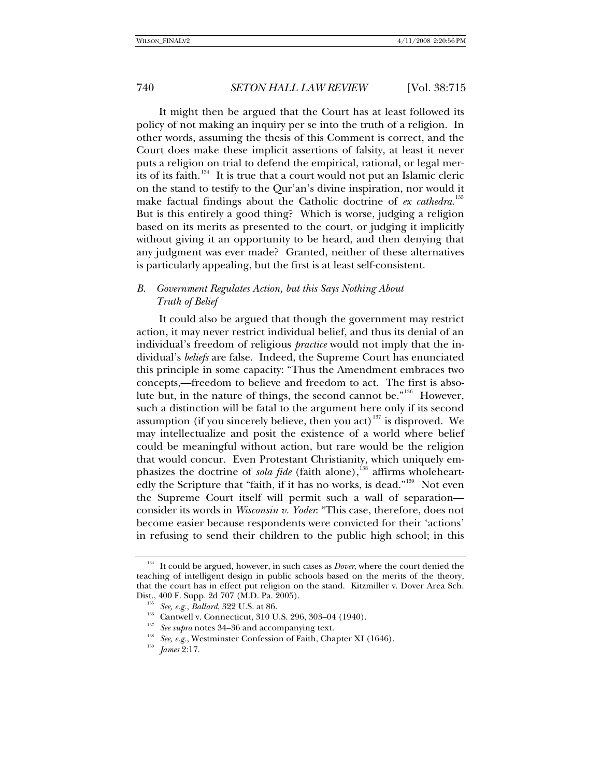It might then be argued that the Court has at least followed its policy of not making an inquiry per se into the truth of a religion. In other words, assuming the thesis of this Comment is correct, and the Court does make these implicit assertions of falsity, at least it never puts a religion on trial to defend the empirical, rational, or legal mer-its of its faith.<sup>[134](#page-25-0)</sup> It is true that a court would not put an Islamic cleric on the stand to testify to the Qur'an's divine inspiration, nor would it make factual findings about the Catholic doctrine of *ex cathedra*. [135](#page-25-1) But is this entirely a good thing? Which is worse, judging a religion based on its merits as presented to the court, or judging it implicitly without giving it an opportunity to be heard, and then denying that any judgment was ever made? Granted, neither of these alternatives is particularly appealing, but the first is at least self-consistent.

## *B. Government Regulates Action, but this Says Nothing About Truth of Belief*

It could also be argued that though the government may restrict action, it may never restrict individual belief, and thus its denial of an individual's freedom of religious *practice* would not imply that the individual's *beliefs* are false. Indeed, the Supreme Court has enunciated this principle in some capacity: "Thus the Amendment embraces two concepts,—freedom to believe and freedom to act. The first is absolute but, in the nature of things, the second cannot be."[136](#page-25-2) However, such a distinction will be fatal to the argument here only if its second assumption (if you sincerely believe, then you act)<sup>[137](#page-25-3)</sup> is disproved. We may intellectualize and posit the existence of a world where belief could be meaningful without action, but rare would be the religion that would concur. Even Protestant Christianity, which uniquely emphasizes the doctrine of *sola fide* (faith alone),<sup>[138](#page-25-4)</sup> affirms wholeheart-edly the Scripture that "faith, if it has no works, is dead."<sup>[139](#page-25-5)</sup> Not even the Supreme Court itself will permit such a wall of separation consider its words in *Wisconsin v. Yoder*: "This case, therefore, does not become easier because respondents were convicted for their 'actions' in refusing to send their children to the public high school; in this

<span id="page-25-2"></span><span id="page-25-1"></span><span id="page-25-0"></span><sup>&</sup>lt;sup>134</sup> It could be argued, however, in such cases as *Dover*, where the court denied the teaching of intelligent design in public schools based on the merits of the theory, that the court has in effect put religion on the stand. Kitzmiller v. Dover Area Sch.

<span id="page-25-3"></span>

<sup>&</sup>lt;sup>135</sup> See, e.g., Ballard, 322 U.S. at 86.<br><sup>136</sup> Cantwell v. Connecticut, 310 U.S. 296, 303–04 (1940).<br><sup>137</sup> See supra notes 34–36 and accompanying text.<br><sup>138</sup> See, e.g., Westminster Confession of Faith, Chapter XI (1646).

<span id="page-25-5"></span><span id="page-25-4"></span>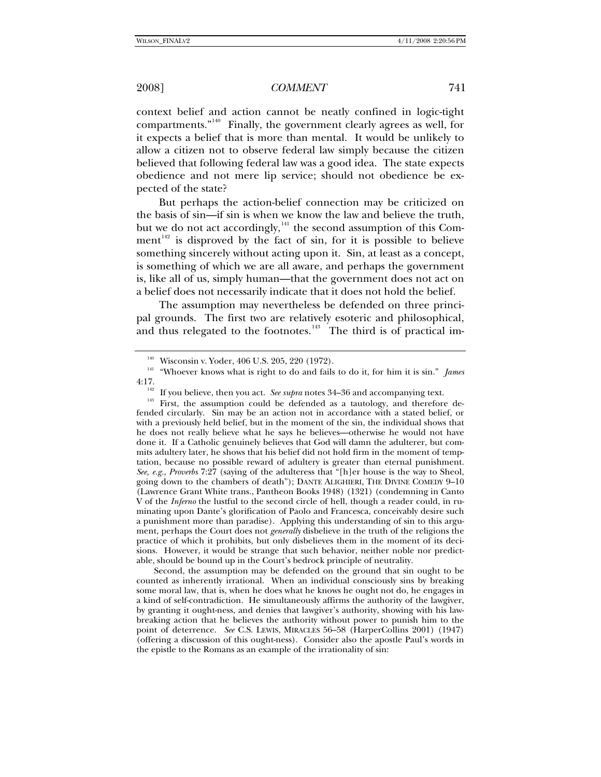context belief and action cannot be neatly confined in logic-tight compartments."[140](#page-26-0) Finally, the government clearly agrees as well, for it expects a belief that is more than mental. It would be unlikely to allow a citizen not to observe federal law simply because the citizen believed that following federal law was a good idea. The state expects obedience and not mere lip service; should not obedience be expected of the state?

But perhaps the action-belief connection may be criticized on the basis of sin—if sin is when we know the law and believe the truth, but we do not act accordingly, $141$  the second assumption of this Comment $142$  is disproved by the fact of sin, for it is possible to believe something sincerely without acting upon it. Sin, at least as a concept, is something of which we are all aware, and perhaps the government is, like all of us, simply human—that the government does not act on a belief does not necessarily indicate that it does not hold the belief.

The assumption may nevertheless be defended on three principal grounds. The first two are relatively esoteric and philosophical, and thus relegated to the footnotes.<sup>[143](#page-26-3)</sup> The third is of practical im-

Second, the assumption may be defended on the ground that sin ought to be counted as inherently irrational. When an individual consciously sins by breaking some moral law, that is, when he does what he knows he ought not do, he engages in a kind of self-contradiction. He simultaneously affirms the authority of the lawgiver, by granting it ought-ness, and denies that lawgiver's authority, showing with his lawbreaking action that he believes the authority without power to punish him to the point of deterrence. *See* C.S. LEWIS, MIRACLES 56–58 (HarperCollins 2001) (1947) (offering a discussion of this ought-ness). Consider also the apostle Paul's words in the epistle to the Romans as an example of the irrationality of sin:

<span id="page-26-1"></span><span id="page-26-0"></span><sup>&</sup>lt;sup>140</sup> Wisconsin v. Yoder, 406 U.S. 205, 220 (1972).<br><sup>141</sup> "Whoever knows what is right to do and fails to do it, for him it is sin." *James* 4:17.

<span id="page-26-3"></span><span id="page-26-2"></span><sup>&</sup>lt;sup>142</sup> If you believe, then you act. *See supra* notes 34–36 and accompanying text.<br><sup>143</sup> First, the assumption could be defended as a tautology, and therefore defended circularly. Sin may be an action not in accordance with a stated belief, or with a previously held belief, but in the moment of the sin, the individual shows that he does not really believe what he says he believes—otherwise he would not have done it. If a Catholic genuinely believes that God will damn the adulterer, but commits adultery later, he shows that his belief did not hold firm in the moment of temptation, because no possible reward of adultery is greater than eternal punishment. *See, e.g.*, *Proverbs* 7:27 (saying of the adulteress that "[h]er house is the way to Sheol, going down to the chambers of death"); DANTE ALIGHIERI, THE DIVINE COMEDY 9–10 (Lawrence Grant White trans., Pantheon Books 1948) (1321) (condemning in Canto V of the *Inferno* the lustful to the second circle of hell, though a reader could, in ruminating upon Dante's glorification of Paolo and Francesca, conceivably desire such a punishment more than paradise). Applying this understanding of sin to this argument, perhaps the Court does not *generally* disbelieve in the truth of the religions the practice of which it prohibits, but only disbelieves them in the moment of its decisions. However, it would be strange that such behavior, neither noble nor predictable, should be bound up in the Court's bedrock principle of neutrality.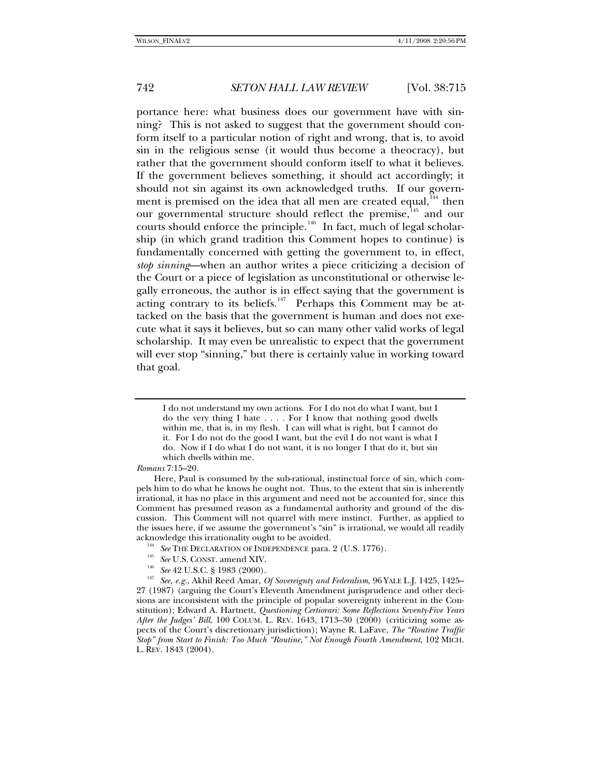portance here: what business does our government have with sinning? This is not asked to suggest that the government should conform itself to a particular notion of right and wrong, that is, to avoid sin in the religious sense (it would thus become a theocracy), but rather that the government should conform itself to what it believes. If the government believes something, it should act accordingly; it should not sin against its own acknowledged truths. If our govern-ment is premised on the idea that all men are created equal,<sup>[144](#page-27-0)</sup> then our governmental structure should reflect the premise,<sup>[145](#page-27-1)</sup> and our courts should enforce the principle.<sup>[146](#page-27-2)</sup> In fact, much of legal scholarship (in which grand tradition this Comment hopes to continue) is fundamentally concerned with getting the government to, in effect, *stop sinning*—when an author writes a piece criticizing a decision of the Court or a piece of legislation as unconstitutional or otherwise legally erroneous, the author is in effect saying that the government is acting contrary to its beliefs.<sup>[147](#page-27-3)</sup> Perhaps this Comment may be attacked on the basis that the government is human and does not execute what it says it believes, but so can many other valid works of legal scholarship. It may even be unrealistic to expect that the government will ever stop "sinning," but there is certainly value in working toward that goal.

- 
- 

I do not understand my own actions. For I do not do what I want, but I do the very thing I hate . . . . For I know that nothing good dwells within me, that is, in my flesh. I can will what is right, but I cannot do it. For I do not do the good I want, but the evil I do not want is what I do. Now if I do what I do not want, it is no longer I that do it, but sin which dwells within me.

*Romans* 7:15–20.

Here, Paul is consumed by the sub-rational, instinctual force of sin, which compels him to do what he knows he ought not. Thus, to the extent that sin is inherently irrational, it has no place in this argument and need not be accounted for, since this Comment has presumed reason as a fundamental authority and ground of the discussion. This Comment will not quarrel with mere instinct. Further, as applied to the issues here, if we assume the government's "sin" is irrational, we would all readily

<span id="page-27-3"></span><span id="page-27-2"></span><span id="page-27-1"></span><span id="page-27-0"></span>acknowledge this irrationality ought to be avoided.<br>
<sup>144</sup> See THE DECLARATION OF INDEPENDENCE para. 2 (U.S. 1776).<br>
<sup>145</sup> See U.S. CONST. amend XIV.<br>
<sup>146</sup> See 42 U.S.C. § 1983 (2000).<br>
<sup>147</sup> See, e.g., Akhil Reed Amar, 27 (1987) (arguing the Court's Eleventh Amendment jurisprudence and other decisions are inconsistent with the principle of popular sovereignty inherent in the Constitution); Edward A. Hartnett, *Questioning Certiorari: Some Reflections Seventy-Five Years After the Judges' Bill*, 100 COLUM. L. REV. 1643, 1713–30 (2000) (criticizing some aspects of the Court's discretionary jurisdiction); Wayne R. LaFave, *The "Routine Traffic Stop" from Start to Finish: Too Much "Routine," Not Enough Fourth Amendment*, 102 MICH. L. REV. 1843 (2004).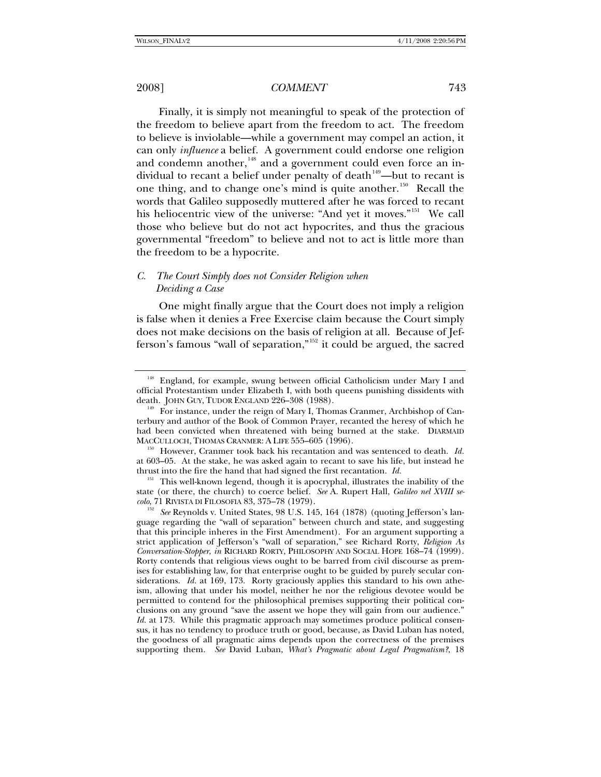Finally, it is simply not meaningful to speak of the protection of the freedom to believe apart from the freedom to act. The freedom to believe is inviolable—while a government may compel an action, it can only *influence* a belief. A government could endorse one religion and condemn another,<sup>[148](#page-28-0)</sup> and a government could even force an in-dividual to recant a belief under penalty of death<sup>[149](#page-28-1)</sup>—but to recant is one thing, and to change one's mind is quite another.<sup>[150](#page-28-2)</sup> Recall the words that Galileo supposedly muttered after he was forced to recant his heliocentric view of the universe: "And yet it moves."<sup>[151](#page-28-3)</sup> We call those who believe but do not act hypocrites, and thus the gracious governmental "freedom" to believe and not to act is little more than the freedom to be a hypocrite.

## *C. The Court Simply does not Consider Religion when Deciding a Case*

One might finally argue that the Court does not imply a religion is false when it denies a Free Exercise claim because the Court simply does not make decisions on the basis of religion at all. Because of Jefferson's famous "wall of separation,"[152](#page-28-4) it could be argued, the sacred

<span id="page-28-0"></span><sup>&</sup>lt;sup>148</sup> England, for example, swung between official Catholicism under Mary I and official Protestantism under Elizabeth I, with both queens punishing dissidents with

<span id="page-28-1"></span>death. JOHN GUY, TUDOR ENGLAND 226–308 (1988).<br><sup>149</sup> For instance, under the reign of Mary I, Thomas Cranmer, Archbishop of Canterbury and author of the Book of Common Prayer, recanted the heresy of which he had been convicted when threatened with being burned at the stake. DIARMAID

<span id="page-28-2"></span>MACCULLOCH, THOMAS CRANMER: A LIFE 555–605 (1996).<br><sup>150</sup> However, Cranmer took back his recantation and was sentenced to death. *Id.* at 603–05. At the stake, he was asked again to recant to save his life, but instead he thrust into the fire the hand that had signed the first recantation. *Id.*

<span id="page-28-3"></span><sup>&</sup>lt;sup>151</sup> This well-known legend, though it is apocryphal, illustrates the inability of the state (or there, the church) to coerce belief. *See* A. Rupert Hall, *Galileo nel XVIII se-*

<span id="page-28-4"></span><sup>&</sup>lt;sup>152</sup> See Reynolds v. United States, 98 U.S. 145, 164 (1878) (quoting Jefferson's language regarding the "wall of separation" between church and state, and suggesting that this principle inheres in the First Amendment). For an argument supporting a strict application of Jefferson's "wall of separation," see Richard Rorty, *Religion As Conversation-Stopper*, *in* RICHARD RORTY, PHILOSOPHY AND SOCIAL HOPE 168–74 (1999). Rorty contends that religious views ought to be barred from civil discourse as premises for establishing law, for that enterprise ought to be guided by purely secular considerations. *Id.* at 169, 173. Rorty graciously applies this standard to his own atheism, allowing that under his model, neither he nor the religious devotee would be permitted to contend for the philosophical premises supporting their political conclusions on any ground "save the assent we hope they will gain from our audience." *Id.* at 173. While this pragmatic approach may sometimes produce political consensus, it has no tendency to produce truth or good, because, as David Luban has noted, the goodness of all pragmatic aims depends upon the correctness of the premises supporting them. *See* David Luban, *What's Pragmatic about Legal Pragmatism?*, 18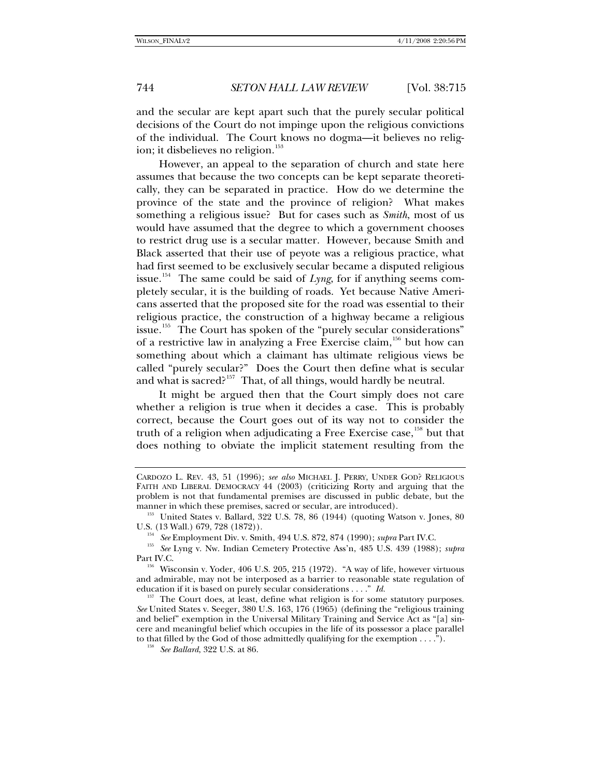and the secular are kept apart such that the purely secular political decisions of the Court do not impinge upon the religious convictions of the individual. The Court knows no dogma—it believes no relig-ion; it disbelieves no religion.<sup>[153](#page-29-0)</sup>

However, an appeal to the separation of church and state here assumes that because the two concepts can be kept separate theoretically, they can be separated in practice. How do we determine the province of the state and the province of religion? What makes something a religious issue? But for cases such as *Smith*, most of us would have assumed that the degree to which a government chooses to restrict drug use is a secular matter. However, because Smith and Black asserted that their use of peyote was a religious practice, what had first seemed to be exclusively secular became a disputed religious issue.<sup>[154](#page-29-1)</sup> The same could be said of  $Lyng$ , for if anything seems completely secular, it is the building of roads. Yet because Native Americans asserted that the proposed site for the road was essential to their religious practice, the construction of a highway became a religious issue.<sup>[155](#page-29-2)</sup> The Court has spoken of the "purely secular considerations" of a restrictive law in analyzing a Free Exercise claim,  $156$  but how can something about which a claimant has ultimate religious views be called "purely secular?" Does the Court then define what is secular and what is sacred?<sup>[157](#page-29-4)</sup> That, of all things, would hardly be neutral.

It might be argued then that the Court simply does not care whether a religion is true when it decides a case. This is probably correct, because the Court goes out of its way not to consider the truth of a religion when adjudicating a Free Exercise case,  $158$  but that does nothing to obviate the implicit statement resulting from the

CARDOZO L. REV. 43, 51 (1996); *see also* MICHAEL J. PERRY, UNDER GOD? RELIGIOUS FAITH AND LIBERAL DEMOCRACY 44 (2003) (criticizing Rorty and arguing that the problem is not that fundamental premises are discussed in public debate, but the

<span id="page-29-0"></span>manner in which these premises, sacred or secular, are introduced).<br><sup>153</sup> United States v. Ballard, 322 U.S. 78, 86 (1944) (quoting Watson v. Jones, 80 U.S. (13 Wall.) 679, 728 (1872)).<br><sup>154</sup> See Employment Div. v. Smith, 494 U.S. 872, 874 (1990); *supra* Part IV.C.

<span id="page-29-1"></span><sup>&</sup>lt;sup>155</sup> See Lyng v. Nw. Indian Cemetery Protective Ass'n, 485 U.S. 439 (1988); *supra* 

<span id="page-29-3"></span><span id="page-29-2"></span>Part IV.C.<br><sup>156</sup> Wisconsin v. Yoder, 406 U.S. 205, 215 (1972). "A way of life, however virtuous and admirable, may not be interposed as a barrier to reasonable state regulation of education if it is based on purely secular considerations . . . ." *Id.*

<span id="page-29-5"></span><span id="page-29-4"></span><sup>&</sup>lt;sup>157</sup> The Court does, at least, define what religion is for some statutory purposes. *See* United States v. Seeger, 380 U.S. 163, 176 (1965) (defining the "religious training and belief" exemption in the Universal Military Training and Service Act as "[a] sincere and meaningful belief which occupies in the life of its possessor a place parallel to that filled by the God of those admittedly qualifying for the exemption . . . ."). 158 *See Ballard*, 322 U.S. at 86.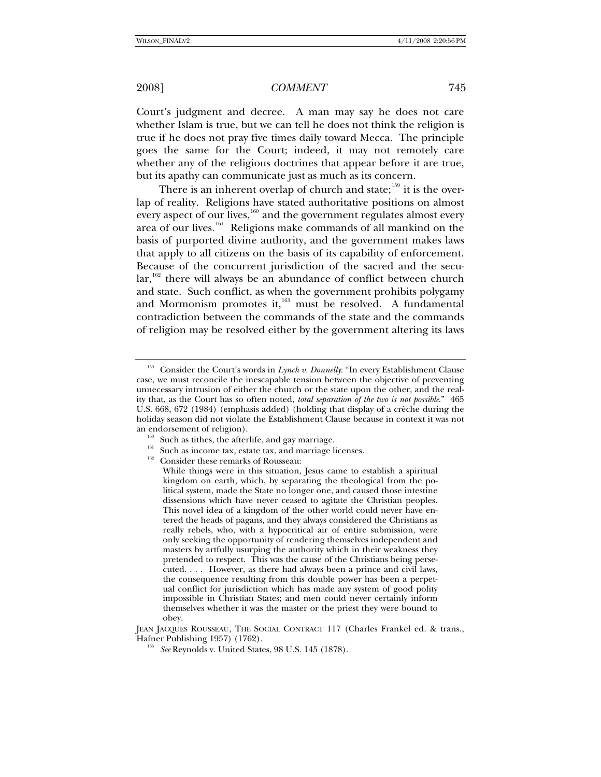Court's judgment and decree. A man may say he does not care whether Islam is true, but we can tell he does not think the religion is true if he does not pray five times daily toward Mecca. The principle goes the same for the Court; indeed, it may not remotely care whether any of the religious doctrines that appear before it are true, but its apathy can communicate just as much as its concern.

There is an inherent overlap of church and state;<sup>[159](#page-30-0)</sup> it is the overlap of reality. Religions have stated authoritative positions on almost every aspect of our lives, $160$  and the government regulates almost every area of our lives.[161](#page-30-2) Religions make commands of all mankind on the basis of purported divine authority, and the government makes laws that apply to all citizens on the basis of its capability of enforcement. Because of the concurrent jurisdiction of the sacred and the secu- $\arctan^{162}$  $\arctan^{162}$  $\arctan^{162}$  there will always be an abundance of conflict between church and state. Such conflict, as when the government prohibits polygamy and Mormonism promotes it, $163$  must be resolved. A fundamental contradiction between the commands of the state and the commands of religion may be resolved either by the government altering its laws

<span id="page-30-0"></span><sup>159</sup> Consider the Court's words in *Lynch v. Donnelly*: "In every Establishment Clause case, we must reconcile the inescapable tension between the objective of preventing unnecessary intrusion of either the church or the state upon the other, and the reality that, as the Court has so often noted, *total separation of the two is not possible*." 465 U.S. 668, 672 (1984) (emphasis added) (holding that display of a crèche during the holiday season did not violate the Establishment Clause because in context it was not

<span id="page-30-3"></span><span id="page-30-2"></span><span id="page-30-1"></span>an endorsement of religion).<br><sup>160</sup> Such as tithes, the afterlife, and gay marriage.<br><sup>161</sup> Such as income tax, estate tax, and marriage licenses.<br><sup>162</sup> Consider these remarks of Rousseau:

While things were in this situation, Jesus came to establish a spiritual kingdom on earth, which, by separating the theological from the political system, made the State no longer one, and caused those intestine dissensions which have never ceased to agitate the Christian peoples. This novel idea of a kingdom of the other world could never have entered the heads of pagans, and they always considered the Christians as really rebels, who, with a hypocritical air of entire submission, were only seeking the opportunity of rendering themselves independent and masters by artfully usurping the authority which in their weakness they pretended to respect. This was the cause of the Christians being persecuted. . . . However, as there had always been a prince and civil laws, the consequence resulting from this double power has been a perpetual conflict for jurisdiction which has made any system of good polity impossible in Christian States; and men could never certainly inform themselves whether it was the master or the priest they were bound to obey.

<span id="page-30-4"></span>JEAN JACQUES ROUSSEAU, THE SOCIAL CONTRACT 117 (Charles Frankel ed. & trans., Hafner Publishing 1957) (1762). 163 *See* Reynolds v. United States, 98 U.S. 145 (1878).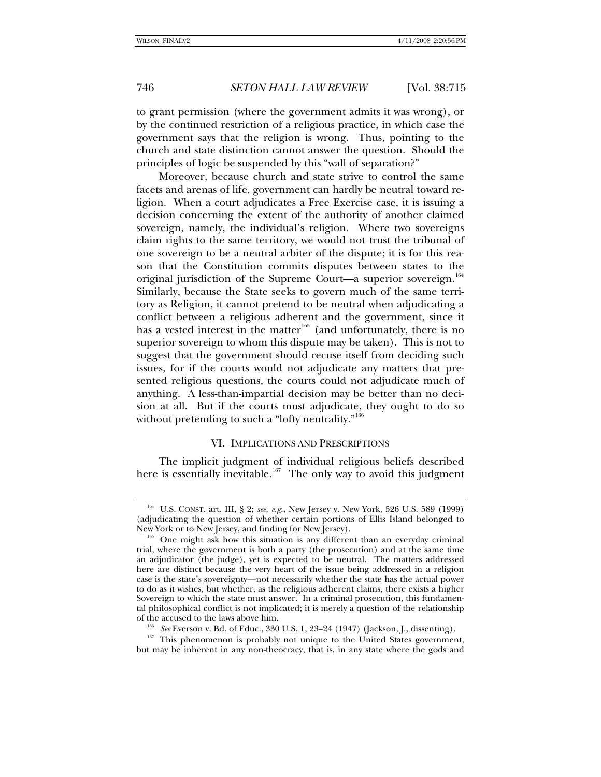to grant permission (where the government admits it was wrong), or by the continued restriction of a religious practice, in which case the government says that the religion is wrong. Thus, pointing to the church and state distinction cannot answer the question. Should the principles of logic be suspended by this "wall of separation?"

Moreover, because church and state strive to control the same facets and arenas of life, government can hardly be neutral toward religion. When a court adjudicates a Free Exercise case, it is issuing a decision concerning the extent of the authority of another claimed sovereign, namely, the individual's religion. Where two sovereigns claim rights to the same territory, we would not trust the tribunal of one sovereign to be a neutral arbiter of the dispute; it is for this reason that the Constitution commits disputes between states to the original jurisdiction of the Supreme Court—a superior sovereign.<sup>[164](#page-31-0)</sup> Similarly, because the State seeks to govern much of the same territory as Religion, it cannot pretend to be neutral when adjudicating a conflict between a religious adherent and the government, since it has a vested interest in the matter<sup>[165](#page-31-1)</sup> (and unfortunately, there is no superior sovereign to whom this dispute may be taken). This is not to suggest that the government should recuse itself from deciding such issues, for if the courts would not adjudicate any matters that presented religious questions, the courts could not adjudicate much of anything. A less-than-impartial decision may be better than no decision at all.But if the courts must adjudicate, they ought to do so without pretending to such a "lofty neutrality."<sup>[166](#page-31-2)</sup>

## VI. IMPLICATIONS AND PRESCRIPTIONS

The implicit judgment of individual religious beliefs described here is essentially inevitable.<sup>[167](#page-31-3)</sup> The only way to avoid this judgment

<span id="page-31-0"></span><sup>164</sup> U.S. CONST. art. III, § 2; *see, e.g.*, New Jersey v. New York, 526 U.S. 589 (1999) (adjudicating the question of whether certain portions of Ellis Island belonged to

<span id="page-31-1"></span>New York or to New Jersey, and finding for New Jersey).<br><sup>165</sup> One might ask how this situation is any different than an everyday criminal trial, where the government is both a party (the prosecution) and at the same time an adjudicator (the judge), yet is expected to be neutral. The matters addressed here are distinct because the very heart of the issue being addressed in a religion case is the state's sovereignty—not necessarily whether the state has the actual power to do as it wishes, but whether, as the religious adherent claims, there exists a higher Sovereign to which the state must answer. In a criminal prosecution, this fundamental philosophical conflict is not implicated; it is merely a question of the relationship of the accused to the laws above him.<br><sup>166</sup> See Everson v. Bd. of Educ., 330 U.S. 1, 23–24 (1947) (Jackson, J., dissenting).<br><sup>167</sup> This phenomenon is probably not unique to the United States government,

<span id="page-31-3"></span><span id="page-31-2"></span>but may be inherent in any non-theocracy, that is, in any state where the gods and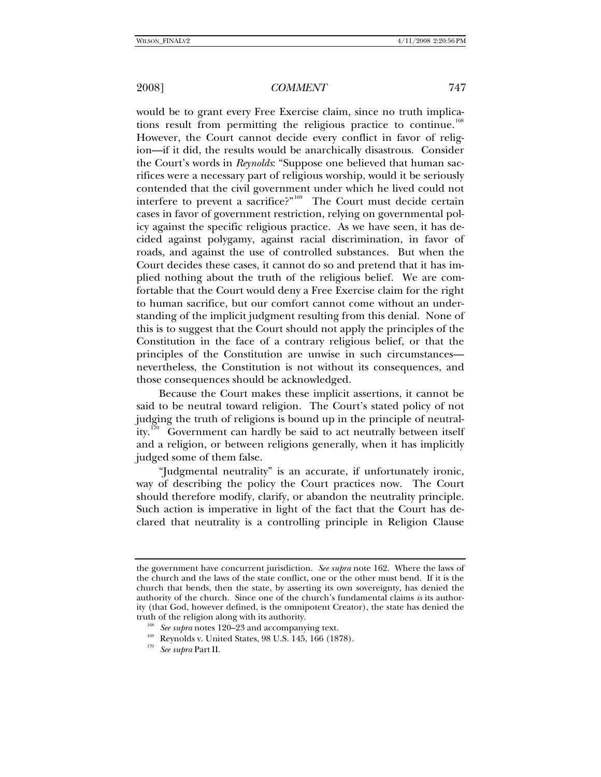would be to grant every Free Exercise claim, since no truth implica-tions result from permitting the religious practice to continue.<sup>[168](#page-32-0)</sup> However, the Court cannot decide every conflict in favor of religion—if it did, the results would be anarchically disastrous. Consider the Court's words in *Reynolds*: "Suppose one believed that human sacrifices were a necessary part of religious worship, would it be seriously contended that the civil government under which he lived could not interfere to prevent a sacrifice?"[169](#page-32-1) The Court must decide certain cases in favor of government restriction, relying on governmental policy against the specific religious practice. As we have seen, it has decided against polygamy, against racial discrimination, in favor of roads, and against the use of controlled substances. But when the Court decides these cases, it cannot do so and pretend that it has implied nothing about the truth of the religious belief. We are comfortable that the Court would deny a Free Exercise claim for the right to human sacrifice, but our comfort cannot come without an understanding of the implicit judgment resulting from this denial. None of this is to suggest that the Court should not apply the principles of the Constitution in the face of a contrary religious belief, or that the principles of the Constitution are unwise in such circumstances nevertheless, the Constitution is not without its consequences, and those consequences should be acknowledged.

Because the Court makes these implicit assertions, it cannot be said to be neutral toward religion. The Court's stated policy of not judging the truth of religions is bound up in the principle of neutral-ity.<sup>[170](#page-32-2)</sup> Government can hardly be said to act neutrally between itself and a religion, or between religions generally, when it has implicitly judged some of them false.

"Judgmental neutrality" is an accurate, if unfortunately ironic, way of describing the policy the Court practices now. The Court should therefore modify, clarify, or abandon the neutrality principle. Such action is imperative in light of the fact that the Court has declared that neutrality is a controlling principle in Religion Clause

the government have concurrent jurisdiction. *See supra* note 162. Where the laws of the church and the laws of the state conflict, one or the other must bend. If it is the church that bends, then the state, by asserting its own sovereignty, has denied the authority of the church. Since one of the church's fundamental claims *is* its authority (that God, however defined, is the omnipotent Creator), the state has denied the truth of the religion along with its authority. 168 *See supra* notes 120–23 and accompanying text. 169 Reynolds v. United States, 98 U.S. 145, 166 (1878). 170 *See supra* Part II.

<span id="page-32-1"></span><span id="page-32-0"></span>

<span id="page-32-2"></span>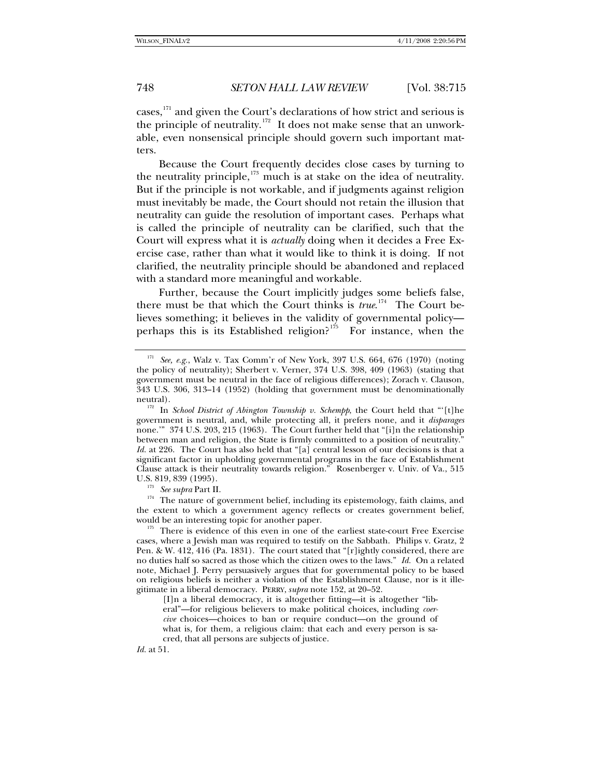cases,[171](#page-33-0) and given the Court's declarations of how strict and serious is the principle of neutrality.<sup>[172](#page-33-1)</sup> It does not make sense that an unworkable, even nonsensical principle should govern such important matters.

Because the Court frequently decides close cases by turning to the neutrality principle, $173$  much is at stake on the idea of neutrality. But if the principle is not workable, and if judgments against religion must inevitably be made, the Court should not retain the illusion that neutrality can guide the resolution of important cases. Perhaps what is called the principle of neutrality can be clarified, such that the Court will express what it is *actually* doing when it decides a Free Exercise case, rather than what it would like to think it is doing. If not clarified, the neutrality principle should be abandoned and replaced with a standard more meaningful and workable.

Further, because the Court implicitly judges some beliefs false, there must be that which the Court thinks is *true*. [174](#page-33-3) The Court believes something; it believes in the validity of governmental policy perhaps this is its Established religion? $175$  For instance, when the

<span id="page-33-3"></span><span id="page-33-2"></span><sup>173</sup> See supra Part II.<br><sup>174</sup> The nature of government belief, including its epistemology, faith claims, and the extent to which a government agency reflects or creates government belief, would be an interesting topic for another paper.<br><sup>175</sup> There is evidence of this even in one of the earliest state-court Free Exercise

<span id="page-33-4"></span>cases, where a Jewish man was required to testify on the Sabbath. Philips v. Gratz, 2 Pen. & W. 412, 416 (Pa. 1831). The court stated that "[r]ightly considered, there are no duties half so sacred as those which the citizen owes to the laws." *Id.* On a related note, Michael J. Perry persuasively argues that for governmental policy to be based on religious beliefs is neither a violation of the Establishment Clause, nor is it illegitimate in a liberal democracy. PERRY, *supra* note 152, at 20–52.

[I]n a liberal democracy, it is altogether fitting—it is altogether "liberal"—for religious believers to make political choices, including *coercive* choices—choices to ban or require conduct—on the ground of what is, for them, a religious claim: that each and every person is sacred, that all persons are subjects of justice.

*Id.* at 51.

<span id="page-33-0"></span><sup>&</sup>lt;sup>171</sup> See, e.g., Walz v. Tax Comm'r of New York, 397 U.S. 664, 676 (1970) (noting the policy of neutrality); Sherbert v. Verner, 374 U.S. 398, 409 (1963) (stating that government must be neutral in the face of religious differences); Zorach v. Clauson, 343 U.S. 306, 313–14 (1952) (holding that government must be denominationally

<span id="page-33-1"></span>neutral).<br><sup>172</sup> In *School District of Abington Township v. Schempp*, the Court held that "'[t]he government is neutral, and, while protecting all, it prefers none, and it *disparages*  none.'" 374 U.S. 203, 215 (1963). The Court further held that "[i]n the relationship between man and religion, the State is firmly committed to a position of neutrality." *Id.* at 226. The Court has also held that "[a] central lesson of our decisions is that a significant factor in upholding governmental programs in the face of Establishment Clause attack is their neutrality towards religion." Rosenberger v. Univ. of Va., 515 U.S. 819, 839 (1995).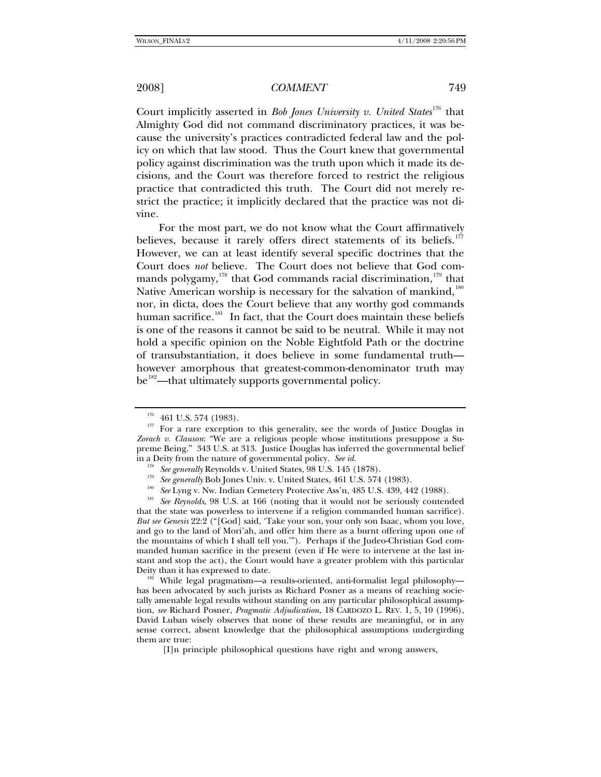Court implicitly asserted in *Bob Jones University v. United States*<sup>[176](#page-34-0)</sup> that Almighty God did not command discriminatory practices, it was because the university's practices contradicted federal law and the policy on which that law stood. Thus the Court knew that governmental policy against discrimination was the truth upon which it made its decisions, and the Court was therefore forced to restrict the religious practice that contradicted this truth. The Court did not merely restrict the practice; it implicitly declared that the practice was not divine.

For the most part, we do not know what the Court affirmatively believes, because it rarely offers direct statements of its beliefs.<sup>[177](#page-34-1)</sup> However, we can at least identify several specific doctrines that the Court does *not* believe. The Court does not believe that God com-mands polygamy,<sup>[178](#page-34-2)</sup> that God commands racial discrimination,<sup>[179](#page-34-3)</sup> that Native American worship is necessary for the salvation of mankind,<sup>[180](#page-34-4)</sup> nor, in dicta, does the Court believe that any worthy god commands human sacrifice.<sup>[181](#page-34-5)</sup> In fact, that the Court does maintain these beliefs is one of the reasons it cannot be said to be neutral. While it may not hold a specific opinion on the Noble Eightfold Path or the doctrine of transubstantiation, it does believe in some fundamental truth however amorphous that greatest-common-denominator truth may  $be^{182}$  $be^{182}$  $be^{182}$ —that ultimately supports governmental policy.

<span id="page-34-5"></span><span id="page-34-4"></span><span id="page-34-3"></span><span id="page-34-2"></span>that the state was powerless to intervene if a religion commanded human sacrifice). *But see Genesis* 22:2 ("[God] said, 'Take your son, your only son Isaac, whom you love, and go to the land of Mori'ah, and offer him there as a burnt offering upon one of the mountains of which I shall tell you.'"). Perhaps if the Judeo-Christian God commanded human sacrifice in the present (even if He were to intervene at the last instant and stop the act), the Court would have a greater problem with this particular Deity than it has expressed to date.<br><sup>182</sup> While legal pragmatism—a results-oriented, anti-formalist legal philosophy—

<span id="page-34-6"></span>has been advocated by such jurists as Richard Posner as a means of reaching societally amenable legal results without standing on any particular philosophical assumption, *see* Richard Posner, *Pragmatic Adjudication*, 18 CARDOZO L. REV. 1, 5, 10 (1996), David Luban wisely observes that none of these results are meaningful, or in any sense correct, absent knowledge that the philosophical assumptions undergirding them are true:

<span id="page-34-1"></span><span id="page-34-0"></span><sup>&</sup>lt;sup>176</sup> 461 U.S. 574 (1983).  $177$  For a rare exception to this generality, see the words of Justice Douglas in *Zorach v. Clauson*: "We are a religious people whose institutions presuppose a Supreme Being." 343 U.S. at 313. Justice Douglas has inferred the governmental belief in a Deity from the nature of governmental policy. *See id.*

<sup>&</sup>lt;sup>178</sup> See generally Reynolds v. United States, 98 U.S. 145 (1878).

<sup>&</sup>lt;sup>179</sup> See generally Bob Jones Univ. v. United States, 461 U.S. 574 (1983).<br><sup>180</sup> See Lyng v. Nw. Indian Cemetery Protective Ass'n, 485 U.S. 439, 442 (1988).<br><sup>181</sup> See Reynolds, 98 U.S. at 166 (noting that it would not be

<sup>[</sup>I]n principle philosophical questions have right and wrong answers,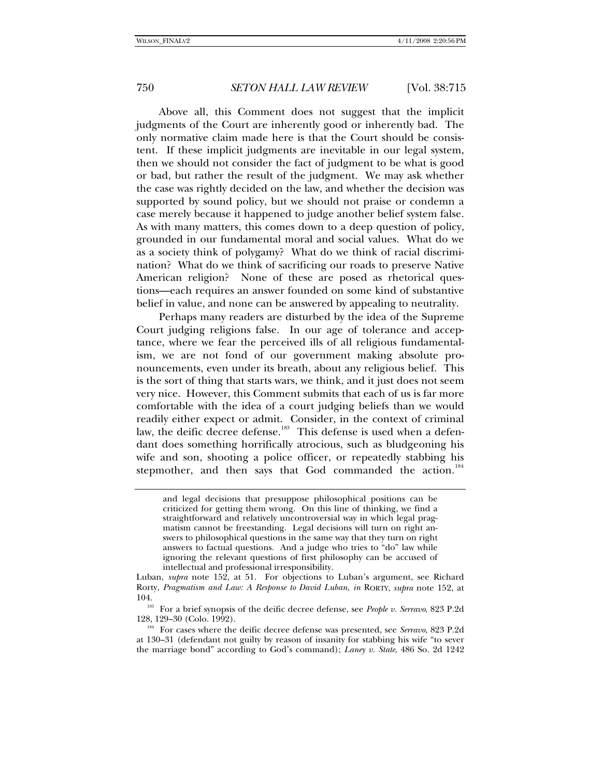Above all, this Comment does not suggest that the implicit judgments of the Court are inherently good or inherently bad. The only normative claim made here is that the Court should be consistent. If these implicit judgments are inevitable in our legal system, then we should not consider the fact of judgment to be what is good or bad, but rather the result of the judgment. We may ask whether the case was rightly decided on the law, and whether the decision was supported by sound policy, but we should not praise or condemn a case merely because it happened to judge another belief system false. As with many matters, this comes down to a deep question of policy, grounded in our fundamental moral and social values. What do we as a society think of polygamy? What do we think of racial discrimination? What do we think of sacrificing our roads to preserve Native American religion? None of these are posed as rhetorical questions—each requires an answer founded on some kind of substantive belief in value, and none can be answered by appealing to neutrality.

Perhaps many readers are disturbed by the idea of the Supreme Court judging religions false. In our age of tolerance and acceptance, where we fear the perceived ills of all religious fundamentalism, we are not fond of our government making absolute pronouncements, even under its breath, about any religious belief. This is the sort of thing that starts wars, we think, and it just does not seem very nice. However, this Comment submits that each of us is far more comfortable with the idea of a court judging beliefs than we would readily either expect or admit. Consider, in the context of criminal law, the deific decree defense.<sup>[183](#page-35-0)</sup> This defense is used when a defendant does something horrifically atrocious, such as bludgeoning his wife and son, shooting a police officer, or repeatedly stabbing his stepmother, and then says that God commanded the action.<sup>[184](#page-35-1)</sup>

and legal decisions that presuppose philosophical positions can be criticized for getting them wrong. On this line of thinking, we find a straightforward and relatively uncontroversial way in which legal pragmatism cannot be freestanding. Legal decisions will turn on right answers to philosophical questions in the same way that they turn on right answers to factual questions. And a judge who tries to "do" law while ignoring the relevant questions of first philosophy can be accused of intellectual and professional irresponsibility.

Luban, *supra* note 152, at 51. For objections to Luban's argument, see Richard Rorty, *Pragmatism and Law: A Response to David Luban*, *in* RORTY, *supra* note 152, at

<span id="page-35-0"></span><sup>104. 183</sup> For a brief synopsis of the deific decree defense, see *People v. Serravo*, 823 P.2d

<span id="page-35-1"></span><sup>&</sup>lt;sup>184</sup> For cases where the deific decree defense was presented, see Serravo, 823 P.2d at 130–31 (defendant not guilty by reason of insanity for stabbing his wife "to sever the marriage bond" according to God's command); *Laney v. State*, 486 So. 2d 1242